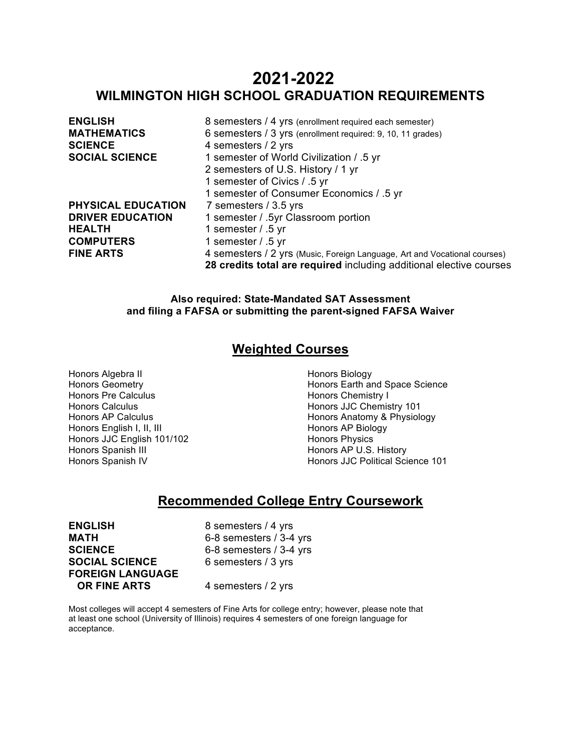# **2021-2022 WILMINGTON HIGH SCHOOL GRADUATION REQUIREMENTS**

| <b>ENGLISH</b>            | 8 semesters / 4 yrs (enrollment required each semester)                   |
|---------------------------|---------------------------------------------------------------------------|
| <b>MATHEMATICS</b>        | 6 semesters / 3 yrs (enrollment required: 9, 10, 11 grades)               |
| <b>SCIENCE</b>            | 4 semesters / 2 yrs                                                       |
| <b>SOCIAL SCIENCE</b>     | 1 semester of World Civilization / .5 yr                                  |
|                           | 2 semesters of U.S. History / 1 yr                                        |
|                           | 1 semester of Civics / .5 yr                                              |
|                           | 1 semester of Consumer Economics / .5 yr                                  |
| <b>PHYSICAL EDUCATION</b> | 7 semesters / 3.5 yrs                                                     |
| <b>DRIVER EDUCATION</b>   | 1 semester / .5yr Classroom portion                                       |
| <b>HEALTH</b>             | 1 semester / .5 yr                                                        |
| <b>COMPUTERS</b>          | 1 semester / .5 yr                                                        |
| <b>FINE ARTS</b>          | 4 semesters / 2 yrs (Music, Foreign Language, Art and Vocational courses) |
|                           | 28 credits total are required including additional elective courses       |

# **Also required: State-Mandated SAT Assessment and filing a FAFSA or submitting the parent-signed FAFSA Waiver**

# **Weighted Courses**

Honors Algebra II Honors Geometry Honors Pre Calculus Honors Calculus Honors AP Calculus Honors English I, II, III Honors JJC English 101/102 Honors Spanish III Honors Spanish IV

Honors Biology Honors Earth and Space Science Honors Chemistry I Honors JJC Chemistry 101 Honors Anatomy & Physiology Honors AP Biology Honors Physics Honors AP U.S. History Honors JJC Political Science 101

# **Recommended College Entry Coursework**

**ENGLISH** 8 semesters / 4 yrs<br> **MATH** 6-8 semesters / 3-4 **SCIENCE** 6-8 semesters / 3-4 yrs **SOCIAL SCIENCE** 6 semesters / 3 yrs **FOREIGN LANGUAGE OR FINE ARTS** 4 semesters / 2 yrs

**MATH** 6-8 semesters / 3-4 yrs

Most colleges will accept 4 semesters of Fine Arts for college entry; however, please note that at least one school (University of Illinois) requires 4 semesters of one foreign language for acceptance.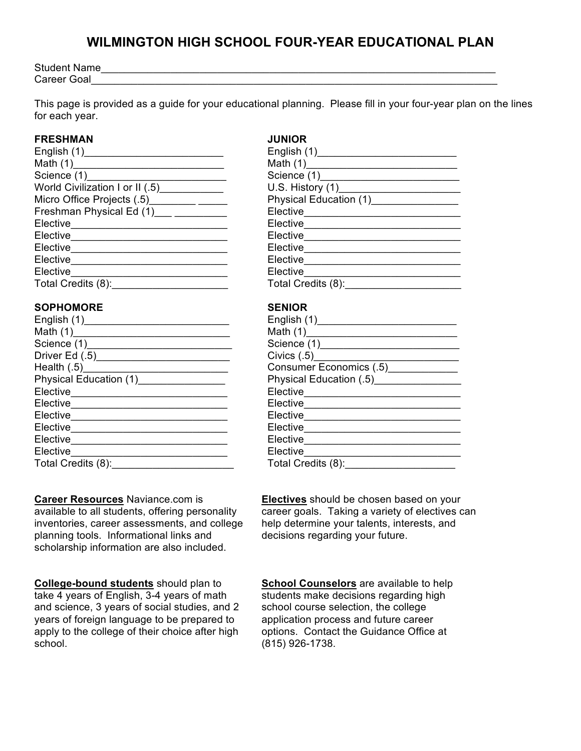# **WILMINGTON HIGH SCHOOL FOUR-YEAR EDUCATIONAL PLAN**

Student Name\_\_\_\_\_\_\_\_\_\_\_\_\_\_\_\_\_\_\_\_\_\_\_\_\_\_\_\_\_\_\_\_\_\_\_\_\_\_\_\_\_\_\_\_\_\_\_\_\_\_\_\_\_\_\_\_\_\_\_\_\_\_\_\_\_\_\_\_ Career Goal

This page is provided as a guide for your educational planning. Please fill in your four-year plan on the lines for each year.

# **FRESHMAN JUNIOR**

| World Civilization I or II (.5) ___________   |                                       |
|-----------------------------------------------|---------------------------------------|
|                                               | Physical Education (1) ______________ |
| Freshman Physical Ed (1) ___ _________        | Elective____________                  |
| Elective <sub></sub>                          | Elective_________________             |
| Elective ____________________                 | Elective <sub>______________</sub>    |
| Elective_______________________________       | Elective <u>example</u>               |
|                                               | Elective____________________          |
| Elective                                      | Elective <sub>________</sub>          |
| Total Credits (8): __________________________ | Total Credits (8):______________      |
|                                               |                                       |

# **SOPHOMORE SENIOR**

|                                                                                                                                                                                                                                      | $Civics$ $(.5)$                                               |
|--------------------------------------------------------------------------------------------------------------------------------------------------------------------------------------------------------------------------------------|---------------------------------------------------------------|
|                                                                                                                                                                                                                                      | Consumer Economics (.5)                                       |
| Physical Education (1) _______________                                                                                                                                                                                               | Physical Education (.5) [2012] [2013] Physical Education (.5) |
|                                                                                                                                                                                                                                      | Elective_____________________                                 |
|                                                                                                                                                                                                                                      |                                                               |
| Elective <u>expression and the set of the set of the set of the set of the set of the set of the set of the set of the set of the set of the set of the set of the set of the set of the set of the set of the set of the set of</u> |                                                               |
| Elective______________________________                                                                                                                                                                                               | Elective_____________                                         |
| Elective <u>expression and the set of the set of the set of the set of the set of the set of the set of the set of the set of the set of the set of the set of the set of the set of the set of the set of the set of the set of</u> | Elective ___________________                                  |
| Elective                                                                                                                                                                                                                             | Elective <sub>_______</sub>                                   |
| Total Credits (8):                                                                                                                                                                                                                   | Total Credits (8): _______                                    |

**Career Resources** Naviance.com is available to all students, offering personality inventories, career assessments, and college planning tools. Informational links and scholarship information are also included.

**College-bound students** should plan to take 4 years of English, 3-4 years of math and science, 3 years of social studies, and 2 years of foreign language to be prepared to apply to the college of their choice after high school.

| English (1)_________                  |
|---------------------------------------|
| Math (1)________________              |
| Science (1)_____________              |
| U.S. History $(1)$                    |
| Physical Education (1)_______________ |
| Elective_________________             |
| Elective_______                       |
| Elective______                        |
| Elective_______                       |
| Elective_____                         |
| Elective                              |
| Total Credits (8):                    |
|                                       |

| English (1)__________            |
|----------------------------------|
| Math (1)____________________     |
| Science (1)__________________    |
| Civics(0.5)                      |
| Consumer Economics (.5) [1994]   |
| Physical Education (.5) Physical |
| Elective________________         |
| Elective_____                    |
| Elective <sub>______</sub> ___   |
| Elective____________             |
| Elective                         |
| Elective                         |
| Total Credits (8):               |

**Electives** should be chosen based on your career goals. Taking a variety of electives can help determine your talents, interests, and decisions regarding your future.

**School Counselors** are available to help students make decisions regarding high school course selection, the college application process and future career options. Contact the Guidance Office at (815) 926-1738.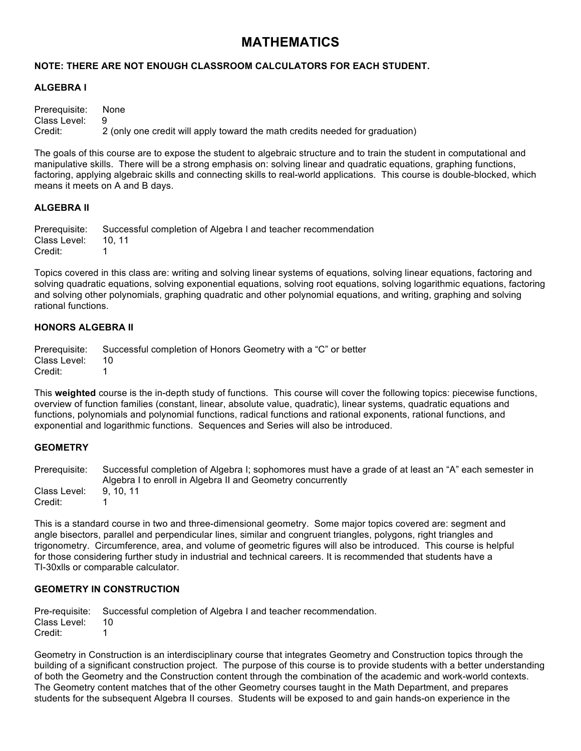# **MATHEMATICS**

# **NOTE: THERE ARE NOT ENOUGH CLASSROOM CALCULATORS FOR EACH STUDENT.**

# **ALGEBRA I**

Prerequisite: None Class Level: Credit: 2 (only one credit will apply toward the math credits needed for graduation)

The goals of this course are to expose the student to algebraic structure and to train the student in computational and manipulative skills. There will be a strong emphasis on: solving linear and quadratic equations, graphing functions, factoring, applying algebraic skills and connecting skills to real-world applications. This course is double-blocked, which means it meets on A and B days.

#### **ALGEBRA II**

Prerequisite: Successful completion of Algebra I and teacher recommendation Class Level: 10, 11 Credit: 1

Topics covered in this class are: writing and solving linear systems of equations, solving linear equations, factoring and solving quadratic equations, solving exponential equations, solving root equations, solving logarithmic equations, factoring and solving other polynomials, graphing quadratic and other polynomial equations, and writing, graphing and solving rational functions.

## **HONORS ALGEBRA II**

Prerequisite: Successful completion of Honors Geometry with a "C" or better Class Level: 10 Credit: 1

This **weighted** course is the in-depth study of functions. This course will cover the following topics: piecewise functions, overview of function families (constant, linear, absolute value, quadratic), linear systems, quadratic equations and functions, polynomials and polynomial functions, radical functions and rational exponents, rational functions, and exponential and logarithmic functions. Sequences and Series will also be introduced.

## **GEOMETRY**

Prerequisite: Successful completion of Algebra I; sophomores must have a grade of at least an "A" each semester in Algebra I to enroll in Algebra II and Geometry concurrently Class Level: 9, 10, 11 Credit: 1

This is a standard course in two and three-dimensional geometry. Some major topics covered are: segment and angle bisectors, parallel and perpendicular lines, similar and congruent triangles, polygons, right triangles and trigonometry. Circumference, area, and volume of geometric figures will also be introduced. This course is helpful for those considering further study in industrial and technical careers. It is recommended that students have a TI-30xlls or comparable calculator.

# **GEOMETRY IN CONSTRUCTION**

Pre-requisite: Successful completion of Algebra I and teacher recommendation. Class Level: 10 Credit: 1

Geometry in Construction is an interdisciplinary course that integrates Geometry and Construction topics through the building of a significant construction project. The purpose of this course is to provide students with a better understanding of both the Geometry and the Construction content through the combination of the academic and work-world contexts. The Geometry content matches that of the other Geometry courses taught in the Math Department, and prepares students for the subsequent Algebra II courses. Students will be exposed to and gain hands-on experience in the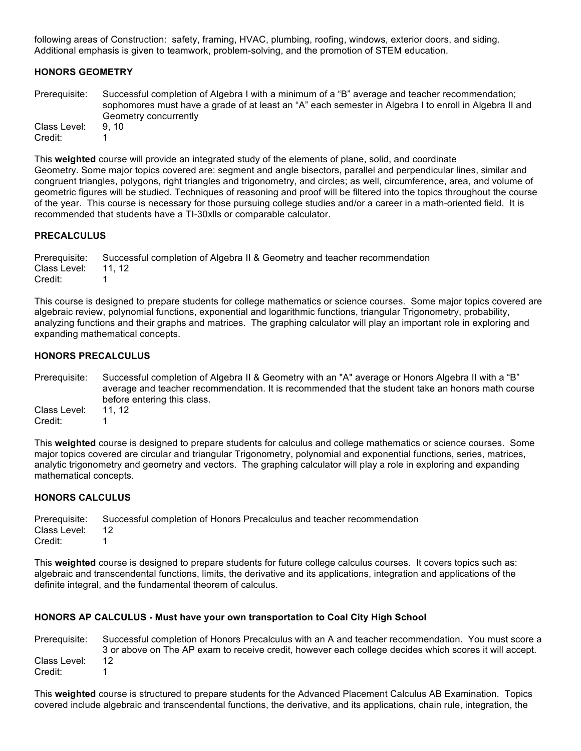following areas of Construction: safety, framing, HVAC, plumbing, roofing, windows, exterior doors, and siding. Additional emphasis is given to teamwork, problem-solving, and the promotion of STEM education.

# **HONORS GEOMETRY**

Prerequisite: Successful completion of Algebra I with a minimum of a "B" average and teacher recommendation; sophomores must have a grade of at least an "A" each semester in Algebra I to enroll in Algebra II and Geometry concurrently Class Level: 9, 10 Credit: 1

This **weighted** course will provide an integrated study of the elements of plane, solid, and coordinate Geometry. Some major topics covered are: segment and angle bisectors, parallel and perpendicular lines, similar and congruent triangles, polygons, right triangles and trigonometry, and circles; as well, circumference, area, and volume of geometric figures will be studied. Techniques of reasoning and proof will be filtered into the topics throughout the course of the year. This course is necessary for those pursuing college studies and/or a career in a math-oriented field. It is recommended that students have a TI-30xlls or comparable calculator.

## **PRECALCULUS**

Prerequisite: Successful completion of Algebra II & Geometry and teacher recommendation Class Level: 11, 12 Credit: 1

This course is designed to prepare students for college mathematics or science courses. Some major topics covered are algebraic review, polynomial functions, exponential and logarithmic functions, triangular Trigonometry, probability, analyzing functions and their graphs and matrices. The graphing calculator will play an important role in exploring and expanding mathematical concepts.

#### **HONORS PRECALCULUS**

Prerequisite: Successful completion of Algebra II & Geometry with an "A" average or Honors Algebra II with a "B" average and teacher recommendation. It is recommended that the student take an honors math course before entering this class. Class Level: 11, 12 Credit: 1

This **weighted** course is designed to prepare students for calculus and college mathematics or science courses. Some major topics covered are circular and triangular Trigonometry, polynomial and exponential functions, series, matrices, analytic trigonometry and geometry and vectors. The graphing calculator will play a role in exploring and expanding mathematical concepts.

## **HONORS CALCULUS**

Prerequisite: Successful completion of Honors Precalculus and teacher recommendation Class Level: 12 Credit: 1

This **weighted** course is designed to prepare students for future college calculus courses. It covers topics such as: algebraic and transcendental functions, limits, the derivative and its applications, integration and applications of the definite integral, and the fundamental theorem of calculus.

## **HONORS AP CALCULUS - Must have your own transportation to Coal City High School**

Prerequisite: Successful completion of Honors Precalculus with an A and teacher recommendation. You must score a 3 or above on The AP exam to receive credit, however each college decides which scores it will accept. Class Level: 12 Credit: 1

This **weighted** course is structured to prepare students for the Advanced Placement Calculus AB Examination. Topics covered include algebraic and transcendental functions, the derivative, and its applications, chain rule, integration, the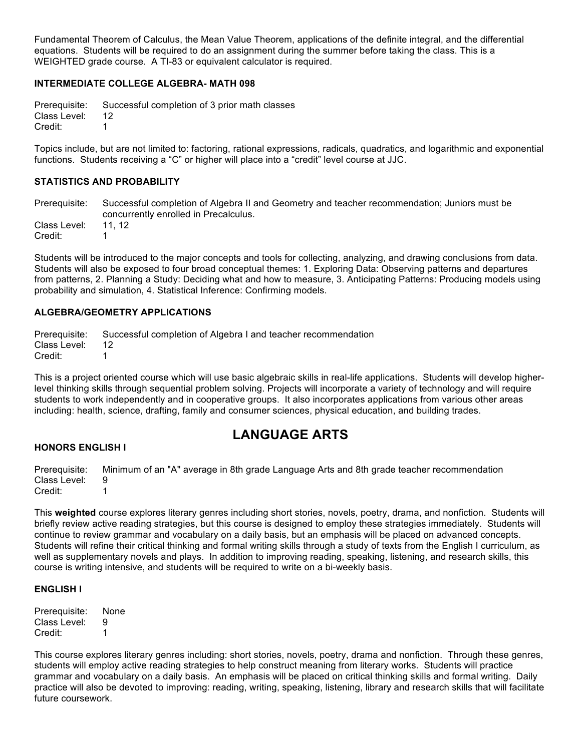Fundamental Theorem of Calculus, the Mean Value Theorem, applications of the definite integral, and the differential equations. Students will be required to do an assignment during the summer before taking the class. This is a WEIGHTED grade course. A TI-83 or equivalent calculator is required.

# **INTERMEDIATE COLLEGE ALGEBRA- MATH 098**

Prerequisite: Successful completion of 3 prior math classes Class Level: 12 Credit: 1

Topics include, but are not limited to: factoring, rational expressions, radicals, quadratics, and logarithmic and exponential functions. Students receiving a "C" or higher will place into a "credit" level course at JJC.

# **STATISTICS AND PROBABILITY**

Prerequisite: Successful completion of Algebra II and Geometry and teacher recommendation; Juniors must be concurrently enrolled in Precalculus. Class Level: 11, 12

Credit: 1

Students will be introduced to the major concepts and tools for collecting, analyzing, and drawing conclusions from data. Students will also be exposed to four broad conceptual themes: 1. Exploring Data: Observing patterns and departures from patterns, 2. Planning a Study: Deciding what and how to measure, 3. Anticipating Patterns: Producing models using probability and simulation, 4. Statistical Inference: Confirming models.

# **ALGEBRA/GEOMETRY APPLICATIONS**

Prerequisite: Successful completion of Algebra I and teacher recommendation Class Level: 12 Credit: 1

This is a project oriented course which will use basic algebraic skills in real-life applications. Students will develop higherlevel thinking skills through sequential problem solving. Projects will incorporate a variety of technology and will require students to work independently and in cooperative groups. It also incorporates applications from various other areas including: health, science, drafting, family and consumer sciences, physical education, and building trades.

# **LANGUAGE ARTS**

## **HONORS ENGLISH I**

Prerequisite: Minimum of an "A" average in 8th grade Language Arts and 8th grade teacher recommendation Class Level: 9 Credit: 1

This **weighted** course explores literary genres including short stories, novels, poetry, drama, and nonfiction. Students will briefly review active reading strategies, but this course is designed to employ these strategies immediately. Students will continue to review grammar and vocabulary on a daily basis, but an emphasis will be placed on advanced concepts. Students will refine their critical thinking and formal writing skills through a study of texts from the English I curriculum, as well as supplementary novels and plays. In addition to improving reading, speaking, listening, and research skills, this course is writing intensive, and students will be required to write on a bi-weekly basis.

## **ENGLISH I**

Prerequisite: None Class Level: 9 Credit: 1

This course explores literary genres including: short stories, novels, poetry, drama and nonfiction. Through these genres, students will employ active reading strategies to help construct meaning from literary works. Students will practice grammar and vocabulary on a daily basis. An emphasis will be placed on critical thinking skills and formal writing. Daily practice will also be devoted to improving: reading, writing, speaking, listening, library and research skills that will facilitate future coursework.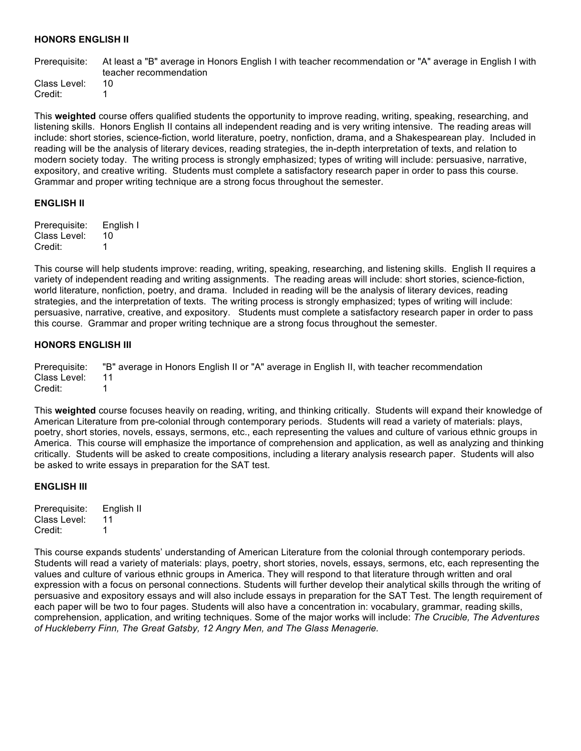## **HONORS ENGLISH II**

Prerequisite: At least a "B" average in Honors English I with teacher recommendation or "A" average in English I with teacher recommendation

Class Level: 10 Credit: 1

This **weighted** course offers qualified students the opportunity to improve reading, writing, speaking, researching, and listening skills. Honors English II contains all independent reading and is very writing intensive. The reading areas will include: short stories, science-fiction, world literature, poetry, nonfiction, drama, and a Shakespearean play. Included in reading will be the analysis of literary devices, reading strategies, the in-depth interpretation of texts, and relation to modern society today. The writing process is strongly emphasized; types of writing will include: persuasive, narrative, expository, and creative writing. Students must complete a satisfactory research paper in order to pass this course. Grammar and proper writing technique are a strong focus throughout the semester.

#### **ENGLISH II**

Prerequisite: English I Class Level: 10 Credit: 1

This course will help students improve: reading, writing, speaking, researching, and listening skills. English II requires a variety of independent reading and writing assignments. The reading areas will include: short stories, science-fiction, world literature, nonfiction, poetry, and drama. Included in reading will be the analysis of literary devices, reading strategies, and the interpretation of texts. The writing process is strongly emphasized; types of writing will include: persuasive, narrative, creative, and expository. Students must complete a satisfactory research paper in order to pass this course. Grammar and proper writing technique are a strong focus throughout the semester.

#### **HONORS ENGLISH III**

Prerequisite: "B" average in Honors English II or "A" average in English II, with teacher recommendation Class Level: 11 Credit: 1

This **weighted** course focuses heavily on reading, writing, and thinking critically. Students will expand their knowledge of American Literature from pre-colonial through contemporary periods. Students will read a variety of materials: plays, poetry, short stories, novels, essays, sermons, etc., each representing the values and culture of various ethnic groups in America. This course will emphasize the importance of comprehension and application, as well as analyzing and thinking critically. Students will be asked to create compositions, including a literary analysis research paper. Students will also be asked to write essays in preparation for the SAT test.

#### **ENGLISH III**

Prerequisite: English II Class Level: 11 Credit: 1

This course expands students' understanding of American Literature from the colonial through contemporary periods. Students will read a variety of materials: plays, poetry, short stories, novels, essays, sermons, etc, each representing the values and culture of various ethnic groups in America. They will respond to that literature through written and oral expression with a focus on personal connections. Students will further develop their analytical skills through the writing of persuasive and expository essays and will also include essays in preparation for the SAT Test. The length requirement of each paper will be two to four pages. Students will also have a concentration in: vocabulary, grammar, reading skills, comprehension, application, and writing techniques. Some of the major works will include: *The Crucible, The Adventures of Huckleberry Finn, The Great Gatsby, 12 Angry Men, and The Glass Menagerie.*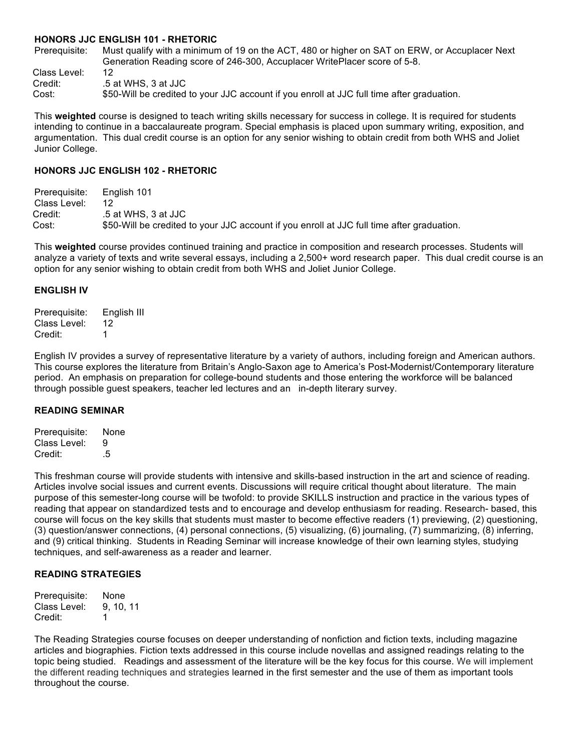#### **HONORS JJC ENGLISH 101 - RHETORIC**

Prerequisite: Must qualify with a minimum of 19 on the ACT, 480 or higher on SAT on ERW, or Accuplacer Next Generation Reading score of 246-300, Accuplacer WritePlacer score of 5-8.

Class Level: 12 Credit: .5 at WHS, 3 at JJC

Cost: \$50-Will be credited to your JJC account if you enroll at JJC full time after graduation.

This **weighted** course is designed to teach writing skills necessary for success in college. It is required for students intending to continue in a baccalaureate program. Special emphasis is placed upon summary writing, exposition, and argumentation. This dual credit course is an option for any senior wishing to obtain credit from both WHS and Joliet Junior College.

#### **HONORS JJC ENGLISH 102 - RHETORIC**

Prerequisite: English 101 Class Level: 12 Credit: .5 at WHS, 3 at JJC Cost: \$50-Will be credited to your JJC account if you enroll at JJC full time after graduation.

This **weighted** course provides continued training and practice in composition and research processes. Students will analyze a variety of texts and write several essays, including a 2,500+ word research paper. This dual credit course is an option for any senior wishing to obtain credit from both WHS and Joliet Junior College.

#### **ENGLISH IV**

Prerequisite: English III Class Level: 12 Credit: 1

English IV provides a survey of representative literature by a variety of authors, including foreign and American authors. This course explores the literature from Britain's Anglo-Saxon age to America's Post-Modernist/Contemporary literature period. An emphasis on preparation for college-bound students and those entering the workforce will be balanced through possible guest speakers, teacher led lectures and an in-depth literary survey.

#### **READING SEMINAR**

Prerequisite: None Class Level: 9 Credit: .5

This freshman course will provide students with intensive and skills-based instruction in the art and science of reading. Articles involve social issues and current events. Discussions will require critical thought about literature. The main purpose of this semester-long course will be twofold: to provide SKILLS instruction and practice in the various types of reading that appear on standardized tests and to encourage and develop enthusiasm for reading. Research- based, this course will focus on the key skills that students must master to become effective readers (1) previewing, (2) questioning, (3) question/answer connections, (4) personal connections, (5) visualizing, (6) journaling, (7) summarizing, (8) inferring, and (9) critical thinking. Students in Reading Seminar will increase knowledge of their own learning styles, studying techniques, and self-awareness as a reader and learner.

# **READING STRATEGIES**

Prerequisite: None Class Level: 9, 10, 11 Credit: 1

The Reading Strategies course focuses on deeper understanding of nonfiction and fiction texts, including magazine articles and biographies. Fiction texts addressed in this course include novellas and assigned readings relating to the topic being studied. Readings and assessment of the literature will be the key focus for this course. We will implement the different reading techniques and strategies learned in the first semester and the use of them as important tools throughout the course.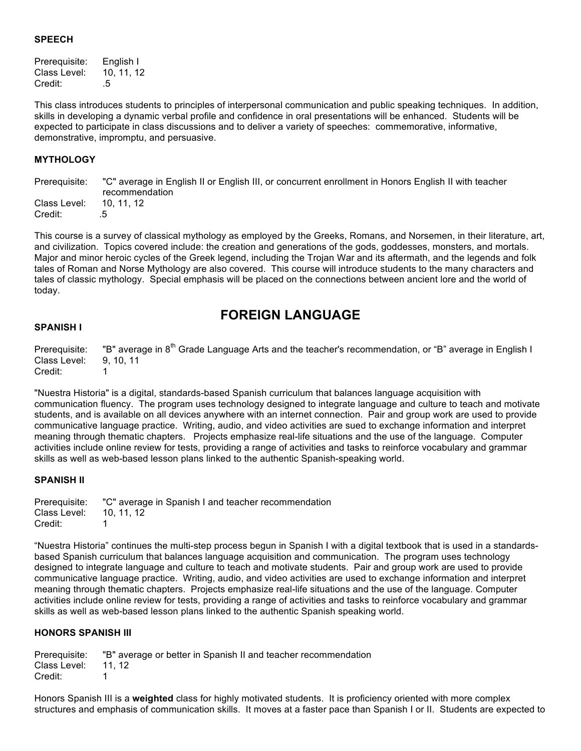# **SPEECH**

Prerequisite: English I Class Level: 10, 11, 12 Credit: .5

This class introduces students to principles of interpersonal communication and public speaking techniques. In addition, skills in developing a dynamic verbal profile and confidence in oral presentations will be enhanced. Students will be expected to participate in class discussions and to deliver a variety of speeches: commemorative, informative, demonstrative, impromptu, and persuasive.

# **MYTHOLOGY**

Prerequisite: "C" average in English II or English III, or concurrent enrollment in Honors English II with teacher recommendation Class Level: 10, 11, 12 Credit: .5

This course is a survey of classical mythology as employed by the Greeks, Romans, and Norsemen, in their literature, art, and civilization. Topics covered include: the creation and generations of the gods, goddesses, monsters, and mortals. Major and minor heroic cycles of the Greek legend, including the Trojan War and its aftermath, and the legends and folk tales of Roman and Norse Mythology are also covered. This course will introduce students to the many characters and tales of classic mythology. Special emphasis will be placed on the connections between ancient lore and the world of today.

# **FOREIGN LANGUAGE**

#### **SPANISH I**

Prerequisite: "B" average in 8<sup>th</sup> Grade Language Arts and the teacher's recommendation, or "B" average in English I Class Level: 9, 10, 11 Credit: 1

"Nuestra Historia" is a digital, standards-based Spanish curriculum that balances language acquisition with communication fluency. The program uses technology designed to integrate language and culture to teach and motivate students, and is available on all devices anywhere with an internet connection. Pair and group work are used to provide communicative language practice. Writing, audio, and video activities are sued to exchange information and interpret meaning through thematic chapters. Projects emphasize real-life situations and the use of the language. Computer activities include online review for tests, providing a range of activities and tasks to reinforce vocabulary and grammar skills as well as web-based lesson plans linked to the authentic Spanish-speaking world.

## **SPANISH II**

Prerequisite: "C" average in Spanish I and teacher recommendation Class Level: 10, 11, 12 Credit: 1

"Nuestra Historia" continues the multi-step process begun in Spanish I with a digital textbook that is used in a standardsbased Spanish curriculum that balances language acquisition and communication. The program uses technology designed to integrate language and culture to teach and motivate students. Pair and group work are used to provide communicative language practice. Writing, audio, and video activities are used to exchange information and interpret meaning through thematic chapters. Projects emphasize real-life situations and the use of the language. Computer activities include online review for tests, providing a range of activities and tasks to reinforce vocabulary and grammar skills as well as web-based lesson plans linked to the authentic Spanish speaking world.

## **HONORS SPANISH III**

Prerequisite: "B" average or better in Spanish II and teacher recommendation Class Level: 11, 12 Credit: 1

Honors Spanish III is a **weighted** class for highly motivated students. It is proficiency oriented with more complex structures and emphasis of communication skills. It moves at a faster pace than Spanish I or II. Students are expected to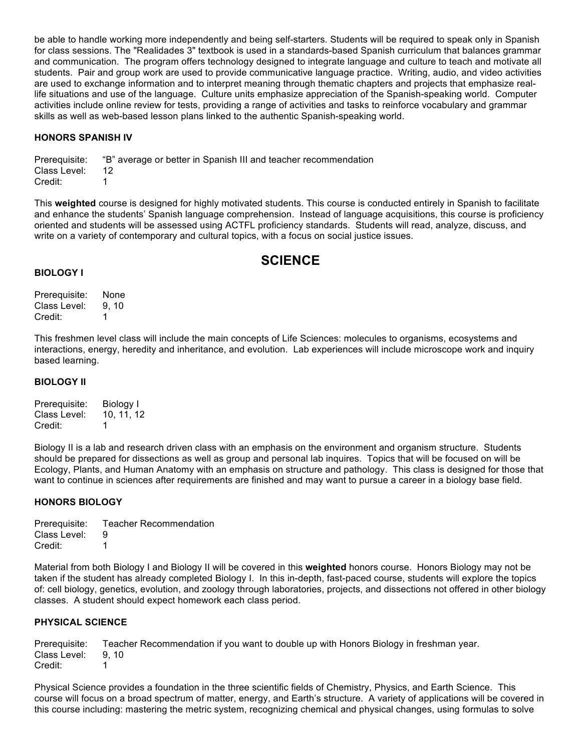be able to handle working more independently and being self-starters. Students will be required to speak only in Spanish for class sessions. The "Realidades 3" textbook is used in a standards-based Spanish curriculum that balances grammar and communication. The program offers technology designed to integrate language and culture to teach and motivate all students. Pair and group work are used to provide communicative language practice. Writing, audio, and video activities are used to exchange information and to interpret meaning through thematic chapters and projects that emphasize reallife situations and use of the language. Culture units emphasize appreciation of the Spanish-speaking world. Computer activities include online review for tests, providing a range of activities and tasks to reinforce vocabulary and grammar skills as well as web-based lesson plans linked to the authentic Spanish-speaking world.

## **HONORS SPANISH IV**

Prerequisite: "B" average or better in Spanish III and teacher recommendation Class Level: 12 Credit: 1

This **weighted** course is designed for highly motivated students. This course is conducted entirely in Spanish to facilitate and enhance the students' Spanish language comprehension. Instead of language acquisitions, this course is proficiency oriented and students will be assessed using ACTFL proficiency standards. Students will read, analyze, discuss, and write on a variety of contemporary and cultural topics, with a focus on social justice issues.

# **SCIENCE**

#### **BIOLOGY I**

Prerequisite: None Class Level: 9, 10 Credit: 1

This freshmen level class will include the main concepts of Life Sciences: molecules to organisms, ecosystems and interactions, energy, heredity and inheritance, and evolution. Lab experiences will include microscope work and inquiry based learning.

#### **BIOLOGY II**

Prerequisite: Biology I Class Level: 10, 11, 12 Credit: 1

Biology II is a lab and research driven class with an emphasis on the environment and organism structure. Students should be prepared for dissections as well as group and personal lab inquires. Topics that will be focused on will be Ecology, Plants, and Human Anatomy with an emphasis on structure and pathology. This class is designed for those that want to continue in sciences after requirements are finished and may want to pursue a career in a biology base field.

# **HONORS BIOLOGY**

Prerequisite: Teacher Recommendation Class Level: 9 Credit: 1

Material from both Biology I and Biology II will be covered in this **weighted** honors course. Honors Biology may not be taken if the student has already completed Biology I. In this in-depth, fast-paced course, students will explore the topics of: cell biology, genetics, evolution, and zoology through laboratories, projects, and dissections not offered in other biology classes. A student should expect homework each class period.

## **PHYSICAL SCIENCE**

Prerequisite: Teacher Recommendation if you want to double up with Honors Biology in freshman year. Class Level: 9, 10 Credit: 1

Physical Science provides a foundation in the three scientific fields of Chemistry, Physics, and Earth Science. This course will focus on a broad spectrum of matter, energy, and Earth's structure. A variety of applications will be covered in this course including: mastering the metric system, recognizing chemical and physical changes, using formulas to solve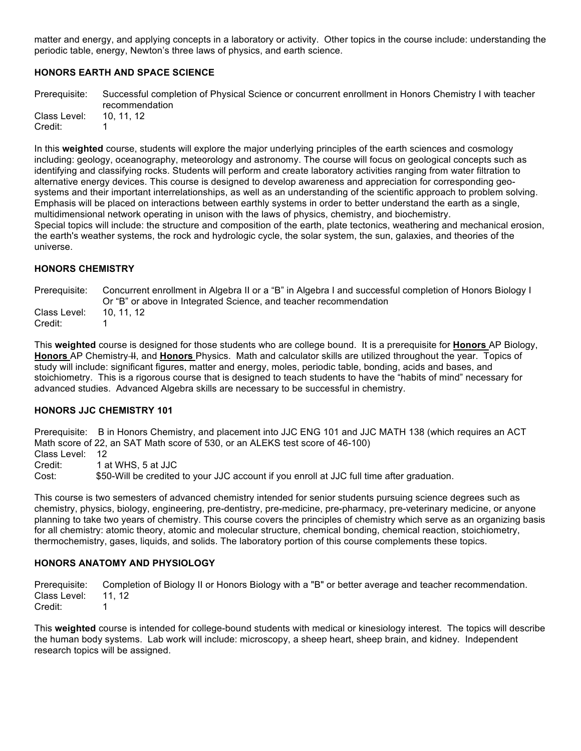matter and energy, and applying concepts in a laboratory or activity. Other topics in the course include: understanding the periodic table, energy, Newton's three laws of physics, and earth science.

# **HONORS EARTH AND SPACE SCIENCE**

Prerequisite: Successful completion of Physical Science or concurrent enrollment in Honors Chemistry I with teacher recommendation Class Level: 10, 11, 12 Credit: 1

In this **weighted** course, students will explore the major underlying principles of the earth sciences and cosmology including: geology, oceanography, meteorology and astronomy. The course will focus on geological concepts such as identifying and classifying rocks. Students will perform and create laboratory activities ranging from water filtration to alternative energy devices. This course is designed to develop awareness and appreciation for corresponding geosystems and their important interrelationships, as well as an understanding of the scientific approach to problem solving. Emphasis will be placed on interactions between earthly systems in order to better understand the earth as a single, multidimensional network operating in unison with the laws of physics, chemistry, and biochemistry. Special topics will include: the structure and composition of the earth, plate tectonics, weathering and mechanical erosion, the earth's weather systems, the rock and hydrologic cycle, the solar system, the sun, galaxies, and theories of the universe.

## **HONORS CHEMISTRY**

Prerequisite: Concurrent enrollment in Algebra II or a "B" in Algebra I and successful completion of Honors Biology I Or "B" or above in Integrated Science, and teacher recommendation Class Level: 10, 11, 12 Credit: 1

This **weighted** course is designed for those students who are college bound. It is a prerequisite for **Honors** AP Biology, **Honors** AP Chemistry II, and **Honors** Physics. Math and calculator skills are utilized throughout the year. Topics of study will include: significant figures, matter and energy, moles, periodic table, bonding, acids and bases, and stoichiometry. This is a rigorous course that is designed to teach students to have the "habits of mind" necessary for advanced studies. Advanced Algebra skills are necessary to be successful in chemistry.

## **HONORS JJC CHEMISTRY 101**

Prerequisite: B in Honors Chemistry, and placement into JJC ENG 101 and JJC MATH 138 (which requires an ACT Math score of 22, an SAT Math score of 530, or an ALEKS test score of 46-100) Class Level: 12 Credit: 1 at WHS, 5 at JJC

Cost: \$50-Will be credited to your JJC account if you enroll at JJC full time after graduation.

This course is two semesters of advanced chemistry intended for senior students pursuing science degrees such as chemistry, physics, biology, engineering, pre-dentistry, pre-medicine, pre-pharmacy, pre-veterinary medicine, or anyone planning to take two years of chemistry. This course covers the principles of chemistry which serve as an organizing basis for all chemistry: atomic theory, atomic and molecular structure, chemical bonding, chemical reaction, stoichiometry, thermochemistry, gases, liquids, and solids. The laboratory portion of this course complements these topics.

# **HONORS ANATOMY AND PHYSIOLOGY**

Prerequisite: Completion of Biology II or Honors Biology with a "B" or better average and teacher recommendation. Class Level: 11, 12 Credit: 1

This **weighted** course is intended for college-bound students with medical or kinesiology interest. The topics will describe the human body systems. Lab work will include: microscopy, a sheep heart, sheep brain, and kidney. Independent research topics will be assigned.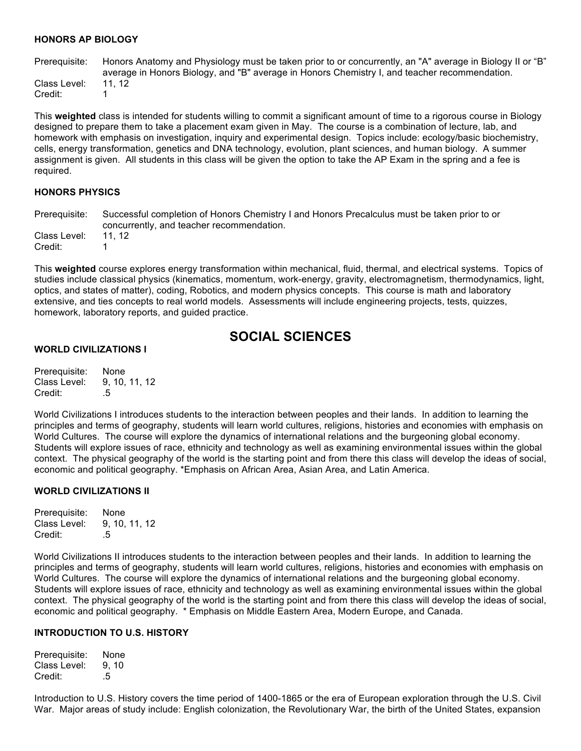#### **HONORS AP BIOLOGY**

Prerequisite: Honors Anatomy and Physiology must be taken prior to or concurrently, an "A" average in Biology II or "B" average in Honors Biology, and "B" average in Honors Chemistry I, and teacher recommendation. Class Level: 11, 12 Credit: 1

This **weighted** class is intended for students willing to commit a significant amount of time to a rigorous course in Biology designed to prepare them to take a placement exam given in May. The course is a combination of lecture, lab, and homework with emphasis on investigation, inquiry and experimental design. Topics include: ecology/basic biochemistry, cells, energy transformation, genetics and DNA technology, evolution, plant sciences, and human biology. A summer assignment is given. All students in this class will be given the option to take the AP Exam in the spring and a fee is required.

#### **HONORS PHYSICS**

Prerequisite: Successful completion of Honors Chemistry I and Honors Precalculus must be taken prior to or concurrently, and teacher recommendation. Class Level: 11, 12 Credit: 1

This **weighted** course explores energy transformation within mechanical, fluid, thermal, and electrical systems. Topics of studies include classical physics (kinematics, momentum, work-energy, gravity, electromagnetism, thermodynamics, light, optics, and states of matter), coding, Robotics, and modern physics concepts. This course is math and laboratory extensive, and ties concepts to real world models. Assessments will include engineering projects, tests, quizzes, homework, laboratory reports, and guided practice.

# **SOCIAL SCIENCES**

# **WORLD CIVILIZATIONS I**

Prerequisite: None Class Level: 9, 10, 11, 12 Credit: .5

World Civilizations I introduces students to the interaction between peoples and their lands. In addition to learning the principles and terms of geography, students will learn world cultures, religions, histories and economies with emphasis on World Cultures. The course will explore the dynamics of international relations and the burgeoning global economy. Students will explore issues of race, ethnicity and technology as well as examining environmental issues within the global context. The physical geography of the world is the starting point and from there this class will develop the ideas of social, economic and political geography. \*Emphasis on African Area, Asian Area, and Latin America.

## **WORLD CIVILIZATIONS II**

Prerequisite: None Class Level: 9, 10, 11, 12 Credit: 5

World Civilizations II introduces students to the interaction between peoples and their lands. In addition to learning the principles and terms of geography, students will learn world cultures, religions, histories and economies with emphasis on World Cultures. The course will explore the dynamics of international relations and the burgeoning global economy. Students will explore issues of race, ethnicity and technology as well as examining environmental issues within the global context. The physical geography of the world is the starting point and from there this class will develop the ideas of social, economic and political geography. \* Emphasis on Middle Eastern Area, Modern Europe, and Canada.

#### **INTRODUCTION TO U.S. HISTORY**

Prerequisite: None Class Level: 9, 10 Credit: .5

Introduction to U.S. History covers the time period of 1400-1865 or the era of European exploration through the U.S. Civil War. Major areas of study include: English colonization, the Revolutionary War, the birth of the United States, expansion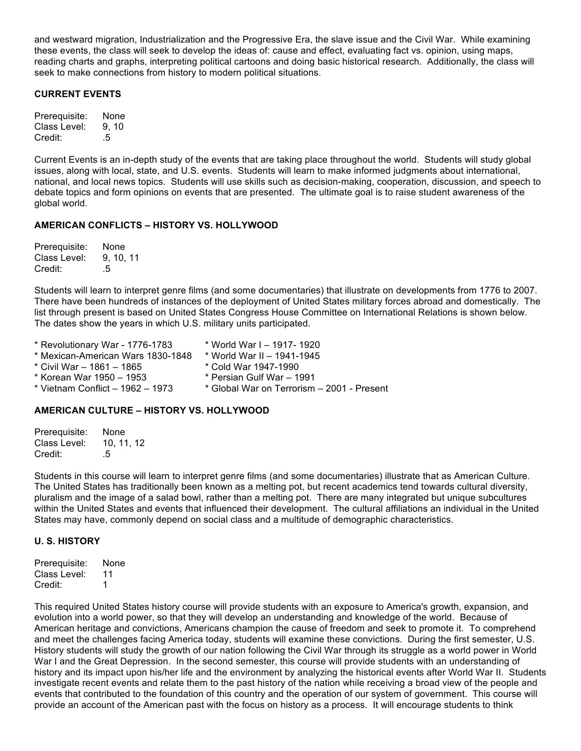and westward migration, Industrialization and the Progressive Era, the slave issue and the Civil War. While examining these events, the class will seek to develop the ideas of: cause and effect, evaluating fact vs. opinion, using maps, reading charts and graphs, interpreting political cartoons and doing basic historical research. Additionally, the class will seek to make connections from history to modern political situations.

# **CURRENT EVENTS**

| Prerequisite: | None |
|---------------|------|
| Class Level:  | 9.10 |
| Credit:       | .5   |

Current Events is an in-depth study of the events that are taking place throughout the world. Students will study global issues, along with local, state, and U.S. events. Students will learn to make informed judgments about international, national, and local news topics. Students will use skills such as decision-making, cooperation, discussion, and speech to debate topics and form opinions on events that are presented. The ultimate goal is to raise student awareness of the global world.

# **AMERICAN CONFLICTS – HISTORY VS. HOLLYWOOD**

| Prerequisite: | None    |
|---------------|---------|
| Class Level:  | 9.10.11 |
| Credit:       | .5      |

Students will learn to interpret genre films (and some documentaries) that illustrate on developments from 1776 to 2007. There have been hundreds of instances of the deployment of United States military forces abroad and domestically. The list through present is based on United States Congress House Committee on International Relations is shown below. The dates show the years in which U.S. military units participated.

| * Revolutionary War - 1776-1783   | * World War I - 1917- 1920                 |
|-----------------------------------|--------------------------------------------|
| * Mexican-American Wars 1830-1848 | * World War II - 1941-1945                 |
| * Civil War – 1861 – 1865         | * Cold War 1947-1990                       |
| * Korean War 1950 – 1953          | * Persian Gulf War - 1991                  |
| * Vietnam Conflict - 1962 - 1973  | * Global War on Terrorism - 2001 - Present |
|                                   |                                            |

## **AMERICAN CULTURE – HISTORY VS. HOLLYWOOD**

| Prerequisite: | None     |
|---------------|----------|
| Class Level:  | 10.11.12 |
| Credit:       | .5       |

Students in this course will learn to interpret genre films (and some documentaries) illustrate that as American Culture. The United States has traditionally been known as a melting pot, but recent academics tend towards cultural diversity, pluralism and the image of a salad bowl, rather than a melting pot. There are many integrated but unique subcultures within the United States and events that influenced their development. The cultural affiliations an individual in the United States may have, commonly depend on social class and a multitude of demographic characteristics.

## **U. S. HISTORY**

| Prerequisite: | None |
|---------------|------|
| Class Level:  | 11   |
| Credit:       | 1    |

This required United States history course will provide students with an exposure to America's growth, expansion, and evolution into a world power, so that they will develop an understanding and knowledge of the world. Because of American heritage and convictions, Americans champion the cause of freedom and seek to promote it. To comprehend and meet the challenges facing America today, students will examine these convictions. During the first semester, U.S. History students will study the growth of our nation following the Civil War through its struggle as a world power in World War I and the Great Depression. In the second semester, this course will provide students with an understanding of history and its impact upon his/her life and the environment by analyzing the historical events after World War II. Students investigate recent events and relate them to the past history of the nation while receiving a broad view of the people and events that contributed to the foundation of this country and the operation of our system of government. This course will provide an account of the American past with the focus on history as a process. It will encourage students to think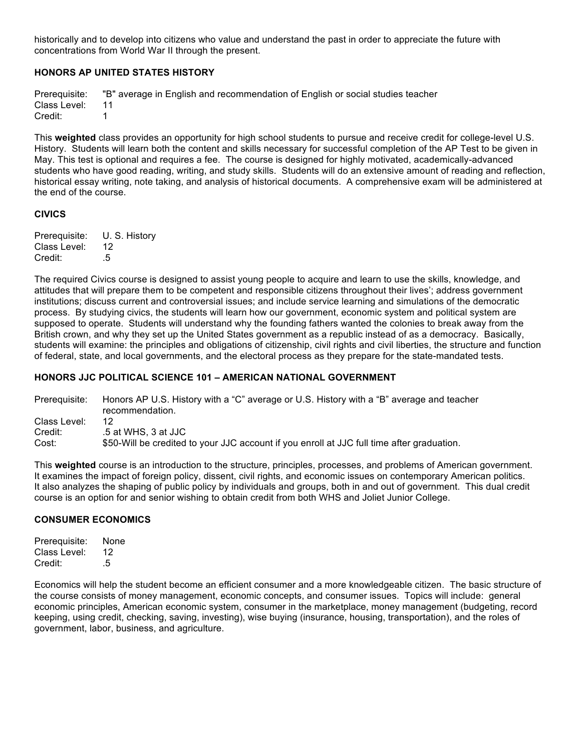historically and to develop into citizens who value and understand the past in order to appreciate the future with concentrations from World War II through the present.

# **HONORS AP UNITED STATES HISTORY**

Prerequisite: "B" average in English and recommendation of English or social studies teacher Class Level: 11 Credit: 1

This **weighted** class provides an opportunity for high school students to pursue and receive credit for college-level U.S. History. Students will learn both the content and skills necessary for successful completion of the AP Test to be given in May. This test is optional and requires a fee. The course is designed for highly motivated, academically-advanced students who have good reading, writing, and study skills. Students will do an extensive amount of reading and reflection, historical essay writing, note taking, and analysis of historical documents. A comprehensive exam will be administered at the end of the course.

# **CIVICS**

| Prerequisite: | U. S. History |
|---------------|---------------|
| Class Level:  | 12            |
| Credit:       | .5            |

The required Civics course is designed to assist young people to acquire and learn to use the skills, knowledge, and attitudes that will prepare them to be competent and responsible citizens throughout their lives'; address government institutions; discuss current and controversial issues; and include service learning and simulations of the democratic process. By studying civics, the students will learn how our government, economic system and political system are supposed to operate. Students will understand why the founding fathers wanted the colonies to break away from the British crown, and why they set up the United States government as a republic instead of as a democracy. Basically, students will examine: the principles and obligations of citizenship, civil rights and civil liberties, the structure and function of federal, state, and local governments, and the electoral process as they prepare for the state-mandated tests.

# **HONORS JJC POLITICAL SCIENCE 101 – AMERICAN NATIONAL GOVERNMENT**

Prerequisite: Honors AP U.S. History with a "C" average or U.S. History with a "B" average and teacher recommendation. Class Level: 12 Credit: .5 at WHS, 3 at JJC Cost: \$50-Will be credited to your JJC account if you enroll at JJC full time after graduation.

This **weighted** course is an introduction to the structure, principles, processes, and problems of American government. It examines the impact of foreign policy, dissent, civil rights, and economic issues on contemporary American politics. It also analyzes the shaping of public policy by individuals and groups, both in and out of government. This dual credit course is an option for and senior wishing to obtain credit from both WHS and Joliet Junior College.

## **CONSUMER ECONOMICS**

| Prerequisite: | None |
|---------------|------|
| Class Level:  | 12   |
| Credit:       | .5   |

Economics will help the student become an efficient consumer and a more knowledgeable citizen. The basic structure of the course consists of money management, economic concepts, and consumer issues. Topics will include: general economic principles, American economic system, consumer in the marketplace, money management (budgeting, record keeping, using credit, checking, saving, investing), wise buying (insurance, housing, transportation), and the roles of government, labor, business, and agriculture.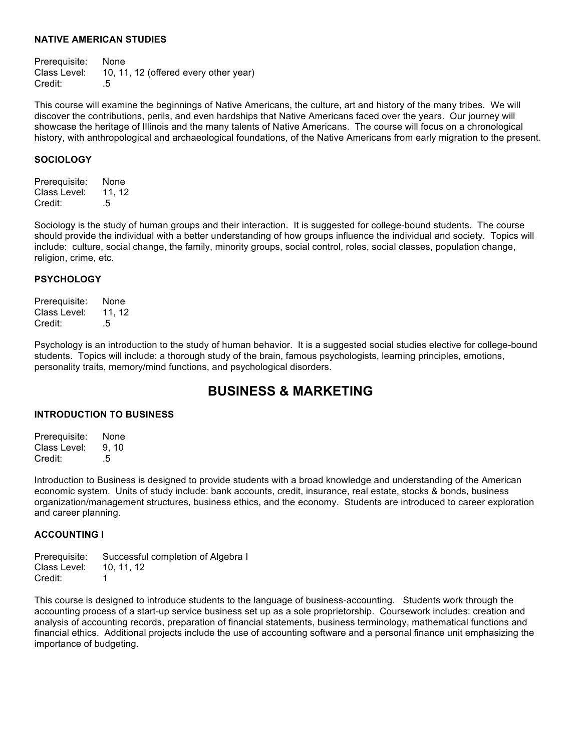#### **NATIVE AMERICAN STUDIES**

Prerequisite: None Class Level: 10, 11, 12 (offered every other year)<br>Credit: . 5 Credit:

This course will examine the beginnings of Native Americans, the culture, art and history of the many tribes. We will discover the contributions, perils, and even hardships that Native Americans faced over the years. Our journey will showcase the heritage of Illinois and the many talents of Native Americans. The course will focus on a chronological history, with anthropological and archaeological foundations, of the Native Americans from early migration to the present.

# **SOCIOLOGY**

Prerequisite: None Class Level: 11, 12 Credit: .5

Sociology is the study of human groups and their interaction. It is suggested for college-bound students. The course should provide the individual with a better understanding of how groups influence the individual and society. Topics will include: culture, social change, the family, minority groups, social control, roles, social classes, population change, religion, crime, etc.

## **PSYCHOLOGY**

Prerequisite: None Class Level: 11, 12 Credit: .5

Psychology is an introduction to the study of human behavior. It is a suggested social studies elective for college-bound students. Topics will include: a thorough study of the brain, famous psychologists, learning principles, emotions, personality traits, memory/mind functions, and psychological disorders.

# **BUSINESS & MARKETING**

## **INTRODUCTION TO BUSINESS**

Prerequisite: None Class Level: 9, 10 Credit: .5

Introduction to Business is designed to provide students with a broad knowledge and understanding of the American economic system. Units of study include: bank accounts, credit, insurance, real estate, stocks & bonds, business organization/management structures, business ethics, and the economy. Students are introduced to career exploration and career planning.

# **ACCOUNTING I**

Prerequisite: Successful completion of Algebra I Class Level: 10, 11, 12 Credit: 1

This course is designed to introduce students to the language of business-accounting. Students work through the accounting process of a start-up service business set up as a sole proprietorship. Coursework includes: creation and analysis of accounting records, preparation of financial statements, business terminology, mathematical functions and financial ethics. Additional projects include the use of accounting software and a personal finance unit emphasizing the importance of budgeting.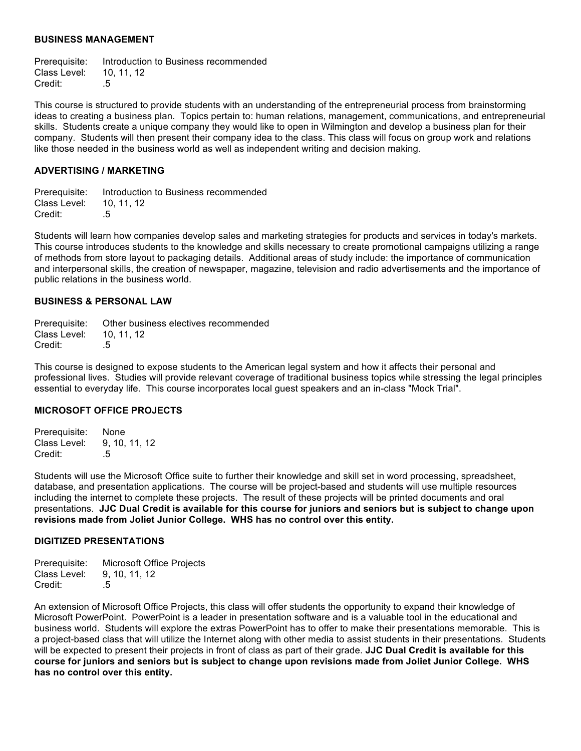#### **BUSINESS MANAGEMENT**

Prerequisite: Introduction to Business recommended Class Level: 10, 11, 12 Credit: .5

This course is structured to provide students with an understanding of the entrepreneurial process from brainstorming ideas to creating a business plan. Topics pertain to: human relations, management, communications, and entrepreneurial skills. Students create a unique company they would like to open in Wilmington and develop a business plan for their company. Students will then present their company idea to the class. This class will focus on group work and relations like those needed in the business world as well as independent writing and decision making.

## **ADVERTISING / MARKETING**

Prerequisite: Introduction to Business recommended Class Level: 10, 11, 12 Credit: .5

Students will learn how companies develop sales and marketing strategies for products and services in today's markets. This course introduces students to the knowledge and skills necessary to create promotional campaigns utilizing a range of methods from store layout to packaging details. Additional areas of study include: the importance of communication and interpersonal skills, the creation of newspaper, magazine, television and radio advertisements and the importance of public relations in the business world.

#### **BUSINESS & PERSONAL LAW**

|                         | Prerequisite: Other business electives recommended |
|-------------------------|----------------------------------------------------|
| Class Level: 10, 11, 12 |                                                    |
| Credit:                 | .5                                                 |

This course is designed to expose students to the American legal system and how it affects their personal and professional lives. Studies will provide relevant coverage of traditional business topics while stressing the legal principles essential to everyday life. This course incorporates local guest speakers and an in-class "Mock Trial".

## **MICROSOFT OFFICE PROJECTS**

Prerequisite: None Class Level: 9, 10, 11, 12 Credit: .5

Students will use the Microsoft Office suite to further their knowledge and skill set in word processing, spreadsheet, database, and presentation applications. The course will be project-based and students will use multiple resources including the internet to complete these projects. The result of these projects will be printed documents and oral presentations. **JJC Dual Credit is available for this course for juniors and seniors but is subject to change upon revisions made from Joliet Junior College. WHS has no control over this entity.**

#### **DIGITIZED PRESENTATIONS**

| Prerequisite: | <b>Microsoft Office Projects</b> |
|---------------|----------------------------------|
| Class Level:  | 9, 10, 11, 12                    |
| Credit:       | .5                               |

An extension of Microsoft Office Projects, this class will offer students the opportunity to expand their knowledge of Microsoft PowerPoint. PowerPoint is a leader in presentation software and is a valuable tool in the educational and business world. Students will explore the extras PowerPoint has to offer to make their presentations memorable. This is a project-based class that will utilize the Internet along with other media to assist students in their presentations. Students will be expected to present their projects in front of class as part of their grade. **JJC Dual Credit is available for this course for juniors and seniors but is subject to change upon revisions made from Joliet Junior College. WHS has no control over this entity.**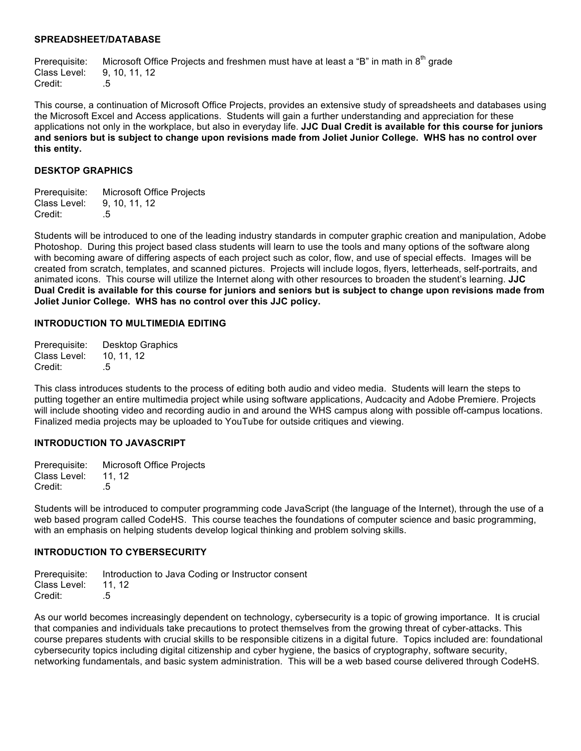#### **SPREADSHEET/DATABASE**

Prerequisite: Microsoft Office Projects and freshmen must have at least a "B" in math in  $8<sup>th</sup>$  grade Class Level: 9, 10, 11, 12 Credit: .5

This course, a continuation of Microsoft Office Projects, provides an extensive study of spreadsheets and databases using the Microsoft Excel and Access applications. Students will gain a further understanding and appreciation for these applications not only in the workplace, but also in everyday life. **JJC Dual Credit is available for this course for juniors and seniors but is subject to change upon revisions made from Joliet Junior College. WHS has no control over this entity.**

## **DESKTOP GRAPHICS**

| Prerequisite: | <b>Microsoft Office Projects</b> |
|---------------|----------------------------------|
| Class Level:  | 9. 10. 11. 12                    |
| Credit:       | .5                               |

Students will be introduced to one of the leading industry standards in computer graphic creation and manipulation, Adobe Photoshop. During this project based class students will learn to use the tools and many options of the software along with becoming aware of differing aspects of each project such as color, flow, and use of special effects. Images will be created from scratch, templates, and scanned pictures. Projects will include logos, flyers, letterheads, self-portraits, and animated icons. This course will utilize the Internet along with other resources to broaden the student's learning. **JJC Dual Credit is available for this course for juniors and seniors but is subject to change upon revisions made from Joliet Junior College. WHS has no control over this JJC policy.**

#### **INTRODUCTION TO MULTIMEDIA EDITING**

| Prerequisite: | <b>Desktop Graphics</b> |
|---------------|-------------------------|
| Class Level:  | 10, 11, 12              |
| Credit:       | .5                      |

This class introduces students to the process of editing both audio and video media. Students will learn the steps to putting together an entire multimedia project while using software applications, Audcacity and Adobe Premiere. Projects will include shooting video and recording audio in and around the WHS campus along with possible off-campus locations. Finalized media projects may be uploaded to YouTube for outside critiques and viewing.

## **INTRODUCTION TO JAVASCRIPT**

Prerequisite: Microsoft Office Projects Class Level: 11, 12 Credit: .5

Students will be introduced to computer programming code JavaScript (the language of the Internet), through the use of a web based program called CodeHS. This course teaches the foundations of computer science and basic programming, with an emphasis on helping students develop logical thinking and problem solving skills.

## **INTRODUCTION TO CYBERSECURITY**

Prerequisite: Introduction to Java Coding or Instructor consent Class Level: 11, 12 Credit: .5

As our world becomes increasingly dependent on technology, cybersecurity is a topic of growing importance. It is crucial that companies and individuals take precautions to protect themselves from the growing threat of cyber-attacks. This course prepares students with crucial skills to be responsible citizens in a digital future. Topics included are: foundational cybersecurity topics including digital citizenship and cyber hygiene, the basics of cryptography, software security, networking fundamentals, and basic system administration. This will be a web based course delivered through CodeHS.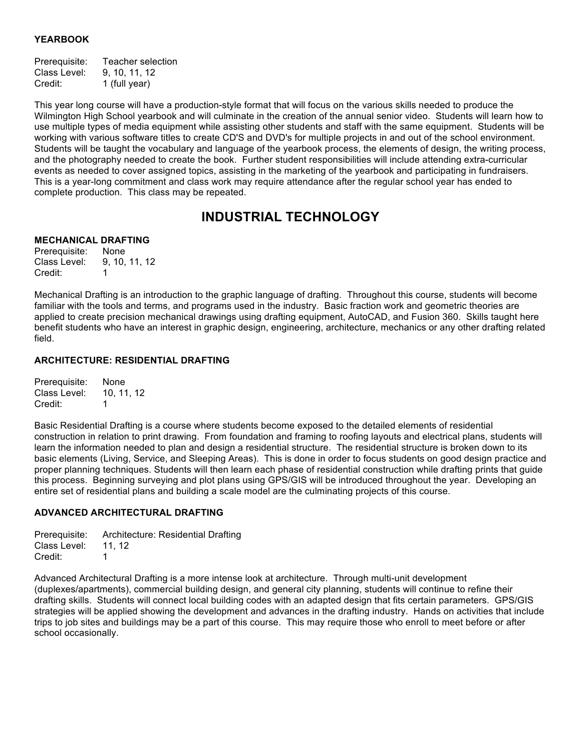# **YEARBOOK**

| Prerequisite: | Teacher selection |
|---------------|-------------------|
| Class Level:  | 9, 10, 11, 12     |
| Credit:       | 1 (full year)     |

This year long course will have a production-style format that will focus on the various skills needed to produce the Wilmington High School yearbook and will culminate in the creation of the annual senior video. Students will learn how to use multiple types of media equipment while assisting other students and staff with the same equipment. Students will be working with various software titles to create CD'S and DVD's for multiple projects in and out of the school environment. Students will be taught the vocabulary and language of the yearbook process, the elements of design, the writing process, and the photography needed to create the book. Further student responsibilities will include attending extra-curricular events as needed to cover assigned topics, assisting in the marketing of the yearbook and participating in fundraisers. This is a year-long commitment and class work may require attendance after the regular school year has ended to complete production. This class may be repeated.

# **INDUSTRIAL TECHNOLOGY**

# **MECHANICAL DRAFTING**

Prerequisite: None Class Level: 9, 10, 11, 12 Credit: 1

Mechanical Drafting is an introduction to the graphic language of drafting. Throughout this course, students will become familiar with the tools and terms, and programs used in the industry. Basic fraction work and geometric theories are applied to create precision mechanical drawings using drafting equipment, AutoCAD, and Fusion 360. Skills taught here benefit students who have an interest in graphic design, engineering, architecture, mechanics or any other drafting related field.

# **ARCHITECTURE: RESIDENTIAL DRAFTING**

Prerequisite: None Class Level: 10, 11, 12 Credit: 1

Basic Residential Drafting is a course where students become exposed to the detailed elements of residential construction in relation to print drawing. From foundation and framing to roofing layouts and electrical plans, students will learn the information needed to plan and design a residential structure. The residential structure is broken down to its basic elements (Living, Service, and Sleeping Areas). This is done in order to focus students on good design practice and proper planning techniques. Students will then learn each phase of residential construction while drafting prints that guide this process. Beginning surveying and plot plans using GPS/GIS will be introduced throughout the year. Developing an entire set of residential plans and building a scale model are the culminating projects of this course.

# **ADVANCED ARCHITECTURAL DRAFTING**

Prerequisite: Architecture: Residential Drafting Class Level: 11, 12 Credit: 1

Advanced Architectural Drafting is a more intense look at architecture. Through multi-unit development (duplexes/apartments), commercial building design, and general city planning, students will continue to refine their drafting skills. Students will connect local building codes with an adapted design that fits certain parameters. GPS/GIS strategies will be applied showing the development and advances in the drafting industry. Hands on activities that include trips to job sites and buildings may be a part of this course. This may require those who enroll to meet before or after school occasionally.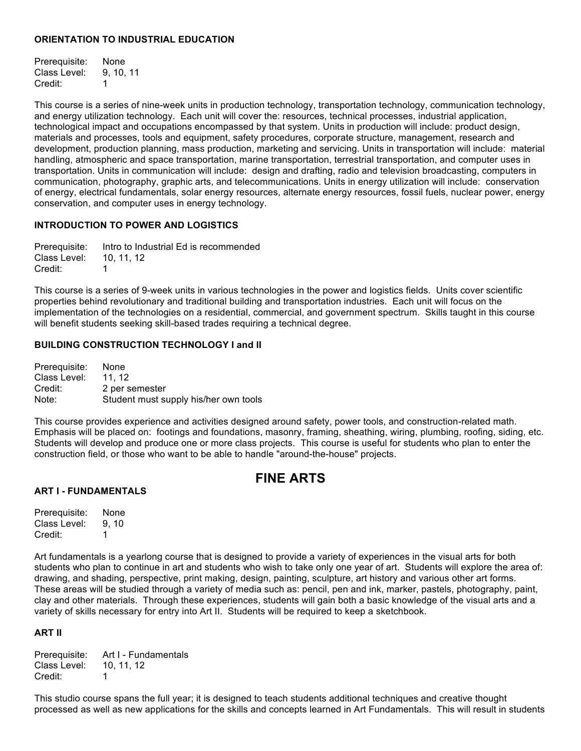# **ORIENTATION TO INDUSTRIAL EDUCATION**

Prerequisite: None Class Level: 9, 10, 11 Credit: 1

This course is a series of nine-week units in production technology, transportation technology, communication technology, and energy utilization technology. Each unit will cover the: resources, technical processes, industrial application, technological impact and occupations encompassed by that system. Units in production will include: product design, materials and processes, tools and equipment, safety procedures, corporate structure, management, research and development, production planning, mass production, marketing and servicing. Units in transportation will include: material handling, atmospheric and space transportation, marine transportation, terrestrial transportation, and computer uses in transportation. Units in communication will include: design and drafting, radio and television broadcasting, computers in communication, photography, graphic arts, and telecommunications. Units in energy utilization will include: conservation of energy, electrical fundamentals, solar energy resources, alternate energy resources, fossil fuels, nuclear power, energy conservation, and computer uses in energy technology.

# **INTRODUCTION TO POWER AND LOGISTICS**

Prerequisite: Intro to Industrial Ed is recommended Class Level: 10, 11, 12 Credit: 1

This course is a series of 9-week units in various technologies in the power and logistics fields. Units cover scientific properties behind revolutionary and traditional building and transportation industries. Each unit will focus on the implementation of the technologies on a residential, commercial, and government spectrum. Skills taught in this course will benefit students seeking skill-based trades requiring a technical degree.

# **BUILDING CONSTRUCTION TECHNOLOGY I and II**

Prerequisite: None Class Level: 11, 12 Credit: 2 per semester Note: Student must supply his/her own tools

This course provides experience and activities designed around safety, power tools, and construction-related math. Emphasis will be placed on: footings and foundations, masonry, framing, sheathing, wiring, plumbing, roofing, siding, etc. Students will develop and produce one or more class projects. This course is useful for students who plan to enter the construction field, or those who want to be able to handle "around-the-house" projects.

# **FINE ARTS**

## **ART I - FUNDAMENTALS**

Prerequisite: None Class Level: 9, 10 Credit: 1

Art fundamentals is a yearlong course that is designed to provide a variety of experiences in the visual arts for both students who plan to continue in art and students who wish to take only one year of art. Students will explore the area of: drawing, and shading, perspective, print making, design, painting, sculpture, art history and various other art forms. These areas will be studied through a variety of media such as: pencil, pen and ink, marker, pastels, photography, paint, clay and other materials. Through these experiences, students will gain both a basic knowledge of the visual arts and a variety of skills necessary for entry into Art II. Students will be required to keep a sketchbook.

# **ART II**

Prerequisite: Art I - Fundamentals Class Level: 10, 11, 12 Credit: 1

This studio course spans the full year; it is designed to teach students additional techniques and creative thought processed as well as new applications for the skills and concepts learned in Art Fundamentals. This will result in students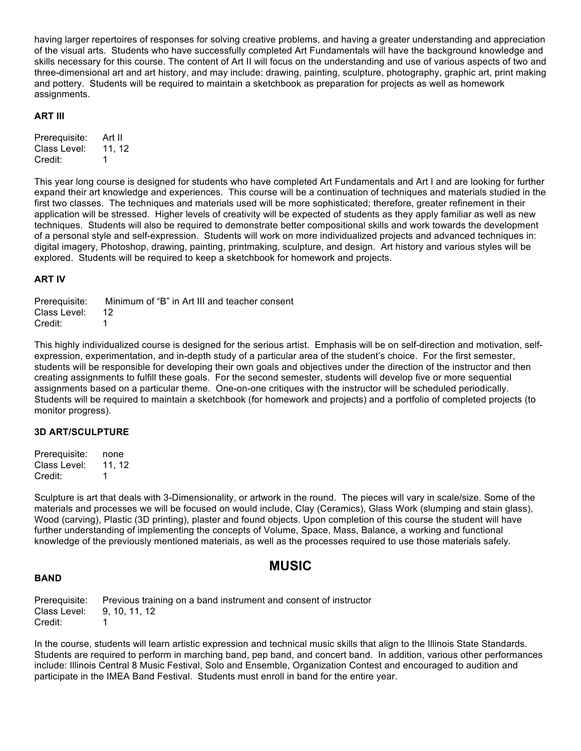having larger repertoires of responses for solving creative problems, and having a greater understanding and appreciation of the visual arts. Students who have successfully completed Art Fundamentals will have the background knowledge and skills necessary for this course. The content of Art II will focus on the understanding and use of various aspects of two and three-dimensional art and art history, and may include: drawing, painting, sculpture, photography, graphic art, print making and pottery. Students will be required to maintain a sketchbook as preparation for projects as well as homework assignments.

# **ART III**

| Prerequisite: | Art II |
|---------------|--------|
| Class Level:  | 11.12  |
| Credit:       | 1      |

This year long course is designed for students who have completed Art Fundamentals and Art I and are looking for further expand their art knowledge and experiences. This course will be a continuation of techniques and materials studied in the first two classes. The techniques and materials used will be more sophisticated; therefore, greater refinement in their application will be stressed. Higher levels of creativity will be expected of students as they apply familiar as well as new techniques. Students will also be required to demonstrate better compositional skills and work towards the development of a personal style and self-expression. Students will work on more individualized projects and advanced techniques in: digital imagery, Photoshop, drawing, painting, printmaking, sculpture, and design. Art history and various styles will be explored. Students will be required to keep a sketchbook for homework and projects.

## **ART IV**

Prerequisite: Minimum of "B" in Art III and teacher consent Class Level: 12 Credit: 1

This highly individualized course is designed for the serious artist. Emphasis will be on self-direction and motivation, selfexpression, experimentation, and in-depth study of a particular area of the student's choice. For the first semester, students will be responsible for developing their own goals and objectives under the direction of the instructor and then creating assignments to fulfill these goals. For the second semester, students will develop five or more sequential assignments based on a particular theme. One-on-one critiques with the instructor will be scheduled periodically. Students will be required to maintain a sketchbook (for homework and projects) and a portfolio of completed projects (to monitor progress).

## **3D ART/SCULPTURE**

Prerequisite: none Class Level: 11, 12 Credit: 1

Sculpture is art that deals with 3-Dimensionality, or artwork in the round. The pieces will vary in scale/size. Some of the materials and processes we will be focused on would include, Clay (Ceramics), Glass Work (slumping and stain glass), Wood (carving), Plastic (3D printing), plaster and found objects. Upon completion of this course the student will have further understanding of implementing the concepts of Volume, Space, Mass, Balance, a working and functional knowledge of the previously mentioned materials, as well as the processes required to use those materials safely.

# **MUSIC**

#### **BAND**

Prerequisite: Previous training on a band instrument and consent of instructor Class Level: 9, 10, 11, 12 Credit: 1

In the course, students will learn artistic expression and technical music skills that align to the Illinois State Standards. Students are required to perform in marching band, pep band, and concert band. In addition, various other performances include: Illinois Central 8 Music Festival, Solo and Ensemble, Organization Contest and encouraged to audition and participate in the IMEA Band Festival. Students must enroll in band for the entire year.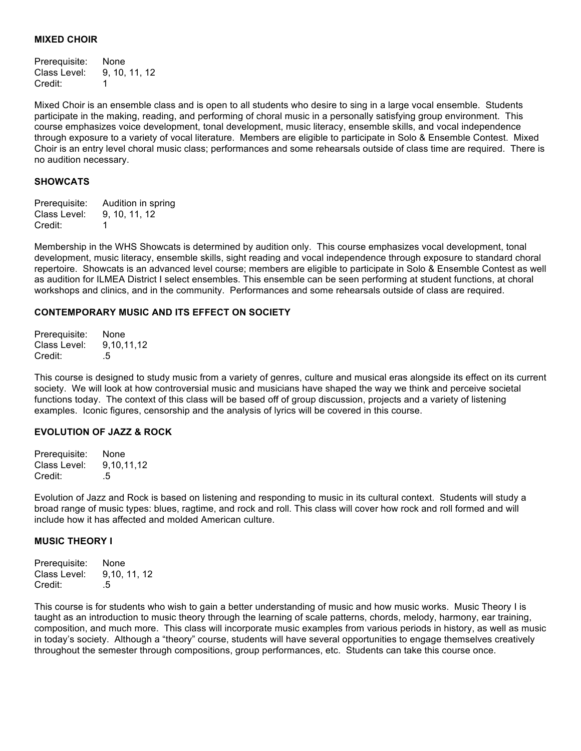#### **MIXED CHOIR**

Prerequisite: None Class Level: 9, 10, 11, 12 Credit: 1

Mixed Choir is an ensemble class and is open to all students who desire to sing in a large vocal ensemble. Students participate in the making, reading, and performing of choral music in a personally satisfying group environment. This course emphasizes voice development, tonal development, music literacy, ensemble skills, and vocal independence through exposure to a variety of vocal literature. Members are eligible to participate in Solo & Ensemble Contest. Mixed Choir is an entry level choral music class; performances and some rehearsals outside of class time are required. There is no audition necessary.

#### **SHOWCATS**

Prerequisite: Audition in spring Class Level: 9, 10, 11, 12 Credit: 1

Membership in the WHS Showcats is determined by audition only. This course emphasizes vocal development, tonal development, music literacy, ensemble skills, sight reading and vocal independence through exposure to standard choral repertoire. Showcats is an advanced level course; members are eligible to participate in Solo & Ensemble Contest as well as audition for ILMEA District I select ensembles. This ensemble can be seen performing at student functions, at choral workshops and clinics, and in the community. Performances and some rehearsals outside of class are required.

#### **CONTEMPORARY MUSIC AND ITS EFFECT ON SOCIETY**

Prerequisite: None Class Level: 9,10,11,12 Credit: .5

This course is designed to study music from a variety of genres, culture and musical eras alongside its effect on its current society. We will look at how controversial music and musicians have shaped the way we think and perceive societal functions today. The context of this class will be based off of group discussion, projects and a variety of listening examples. Iconic figures, censorship and the analysis of lyrics will be covered in this course.

#### **EVOLUTION OF JAZZ & ROCK**

Prerequisite: None Class Level: 9,10,11,12 Credit: .5

Evolution of Jazz and Rock is based on listening and responding to music in its cultural context. Students will study a broad range of music types: blues, ragtime, and rock and roll. This class will cover how rock and roll formed and will include how it has affected and molded American culture.

#### **MUSIC THEORY I**

Prerequisite: None Class Level: 9,10, 11, 12 Credit: .5

This course is for students who wish to gain a better understanding of music and how music works. Music Theory I is taught as an introduction to music theory through the learning of scale patterns, chords, melody, harmony, ear training, composition, and much more. This class will incorporate music examples from various periods in history, as well as music in today's society. Although a "theory" course, students will have several opportunities to engage themselves creatively throughout the semester through compositions, group performances, etc. Students can take this course once.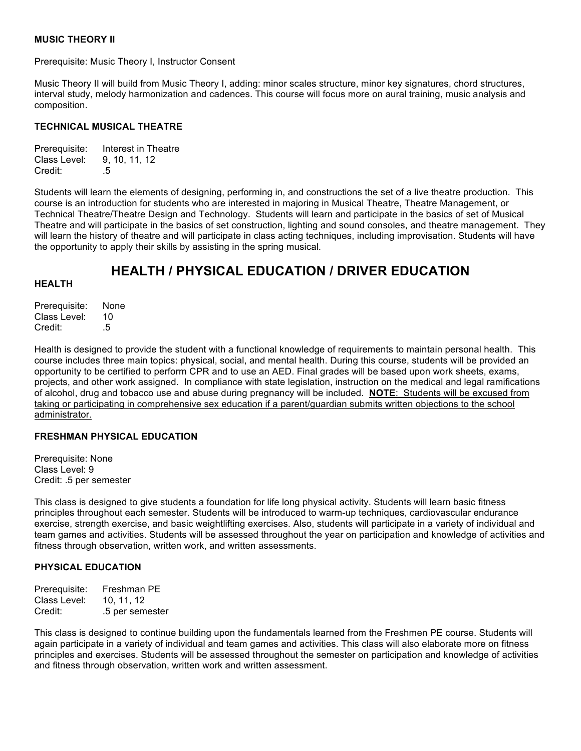# **MUSIC THEORY II**

Prerequisite: Music Theory I, Instructor Consent

Music Theory II will build from Music Theory I, adding: minor scales structure, minor key signatures, chord structures, interval study, melody harmonization and cadences. This course will focus more on aural training, music analysis and composition.

# **TECHNICAL MUSICAL THEATRE**

| Prerequisite: | Interest in Theatre |
|---------------|---------------------|
| Class Level:  | 9, 10, 11, 12       |
| Credit:       | .5                  |

Students will learn the elements of designing, performing in, and constructions the set of a live theatre production. This course is an introduction for students who are interested in majoring in Musical Theatre, Theatre Management, or Technical Theatre/Theatre Design and Technology. Students will learn and participate in the basics of set of Musical Theatre and will participate in the basics of set construction, lighting and sound consoles, and theatre management. They will learn the history of theatre and will participate in class acting techniques, including improvisation. Students will have the opportunity to apply their skills by assisting in the spring musical.

# **HEALTH / PHYSICAL EDUCATION / DRIVER EDUCATION**

## **HEALTH**

Prerequisite: None Class Level: 10 Credit: 5

Health is designed to provide the student with a functional knowledge of requirements to maintain personal health. This course includes three main topics: physical, social, and mental health. During this course, students will be provided an opportunity to be certified to perform CPR and to use an AED. Final grades will be based upon work sheets, exams, projects, and other work assigned. In compliance with state legislation, instruction on the medical and legal ramifications of alcohol, drug and tobacco use and abuse during pregnancy will be included. **NOTE**: Students will be excused from taking or participating in comprehensive sex education if a parent/guardian submits written objections to the school administrator.

## **FRESHMAN PHYSICAL EDUCATION**

Prerequisite: None Class Level: 9 Credit: .5 per semester

This class is designed to give students a foundation for life long physical activity. Students will learn basic fitness principles throughout each semester. Students will be introduced to warm-up techniques, cardiovascular endurance exercise, strength exercise, and basic weightlifting exercises. Also, students will participate in a variety of individual and team games and activities. Students will be assessed throughout the year on participation and knowledge of activities and fitness through observation, written work, and written assessments.

## **PHYSICAL EDUCATION**

Prerequisite: Freshman PE Class Level: 10, 11, 12 Credit: .5 per semester

This class is designed to continue building upon the fundamentals learned from the Freshmen PE course. Students will again participate in a variety of individual and team games and activities. This class will also elaborate more on fitness principles and exercises. Students will be assessed throughout the semester on participation and knowledge of activities and fitness through observation, written work and written assessment.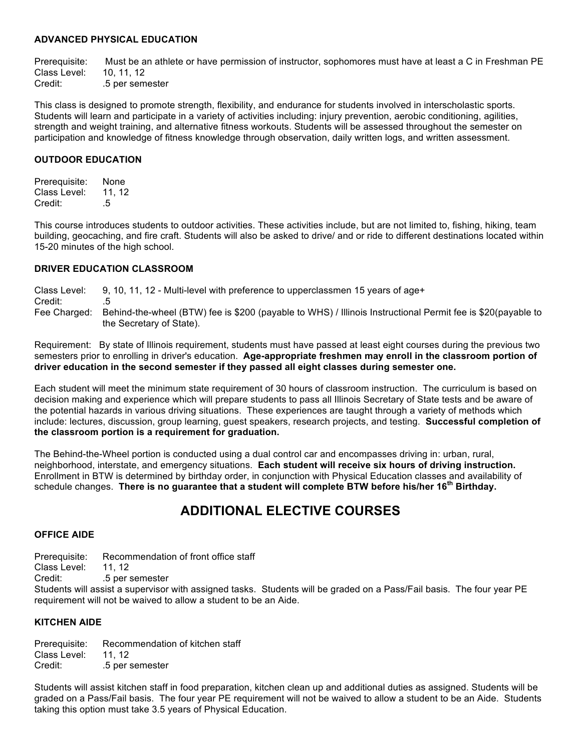# **ADVANCED PHYSICAL EDUCATION**

Prerequisite: Must be an athlete or have permission of instructor, sophomores must have at least a C in Freshman PE Class Level: 10, 11, 12<br>Credit: 5 per sem .5 per semester

This class is designed to promote strength, flexibility, and endurance for students involved in interscholastic sports. Students will learn and participate in a variety of activities including: injury prevention, aerobic conditioning, agilities, strength and weight training, and alternative fitness workouts. Students will be assessed throughout the semester on participation and knowledge of fitness knowledge through observation, daily written logs, and written assessment.

# **OUTDOOR EDUCATION**

Prerequisite: None Class Level: 11, 12 Credit: .5

This course introduces students to outdoor activities. These activities include, but are not limited to, fishing, hiking, team building, geocaching, and fire craft. Students will also be asked to drive/ and or ride to different destinations located within 15-20 minutes of the high school.

# **DRIVER EDUCATION CLASSROOM**

Class Level: 9, 10, 11, 12 - Multi-level with preference to upperclassmen 15 years of age+ Credit: .5 Fee Charged: Behind-the-wheel (BTW) fee is \$200 (payable to WHS) / Illinois Instructional Permit fee is \$20(payable to the Secretary of State).

Requirement: By state of Illinois requirement, students must have passed at least eight courses during the previous two semesters prior to enrolling in driver's education. **Age-appropriate freshmen may enroll in the classroom portion of driver education in the second semester if they passed all eight classes during semester one.**

Each student will meet the minimum state requirement of 30 hours of classroom instruction. The curriculum is based on decision making and experience which will prepare students to pass all Illinois Secretary of State tests and be aware of the potential hazards in various driving situations. These experiences are taught through a variety of methods which include: lectures, discussion, group learning, guest speakers, research projects, and testing. **Successful completion of the classroom portion is a requirement for graduation.**

The Behind-the-Wheel portion is conducted using a dual control car and encompasses driving in: urban, rural, neighborhood, interstate, and emergency situations. **Each student will receive six hours of driving instruction.** Enrollment in BTW is determined by birthday order, in conjunction with Physical Education classes and availability of schedule changes. **There is no guarantee that a student will complete BTW before his/her 16th Birthday.**

# **ADDITIONAL ELECTIVE COURSES**

## **OFFICE AIDE**

Prerequisite: Recommendation of front office staff

Class Level: 11, 12

Credit: .5 per semester

Students will assist a supervisor with assigned tasks. Students will be graded on a Pass/Fail basis. The four year PE requirement will not be waived to allow a student to be an Aide.

## **KITCHEN AIDE**

Prerequisite: Recommendation of kitchen staff Class Level: 11, 12 Credit: .5 per semester

Students will assist kitchen staff in food preparation, kitchen clean up and additional duties as assigned. Students will be graded on a Pass/Fail basis. The four year PE requirement will not be waived to allow a student to be an Aide. Students taking this option must take 3.5 years of Physical Education.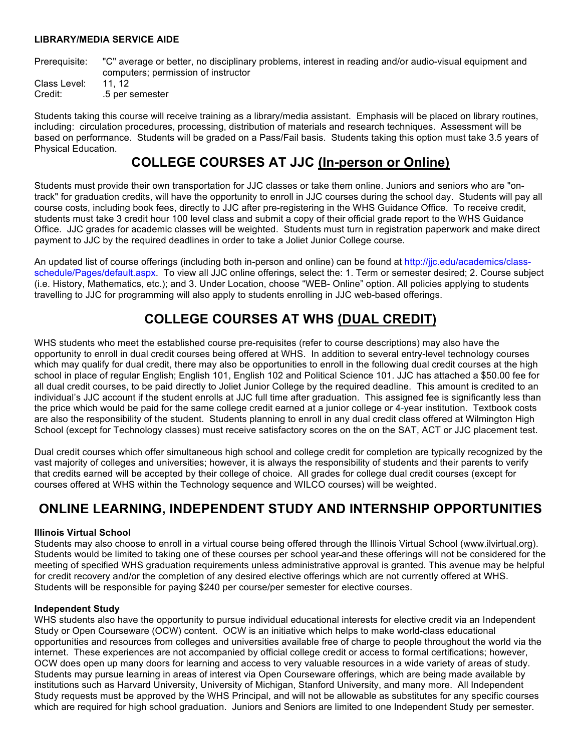## **LIBRARY/MEDIA SERVICE AIDE**

Prerequisite: "C" average or better, no disciplinary problems, interest in reading and/or audio-visual equipment and computers; permission of instructor

Class Level: 11, 12 Credit: .5 per semester

Students taking this course will receive training as a library/media assistant. Emphasis will be placed on library routines, including: circulation procedures, processing, distribution of materials and research techniques. Assessment will be based on performance. Students will be graded on a Pass/Fail basis. Students taking this option must take 3.5 years of Physical Education.

# **COLLEGE COURSES AT JJC (In-person or Online)**

Students must provide their own transportation for JJC classes or take them online. Juniors and seniors who are "ontrack" for graduation credits, will have the opportunity to enroll in JJC courses during the school day. Students will pay all course costs, including book fees, directly to JJC after pre-registering in the WHS Guidance Office. To receive credit, students must take 3 credit hour 100 level class and submit a copy of their official grade report to the WHS Guidance Office. JJC grades for academic classes will be weighted.Students must turn in registration paperwork and make direct payment to JJC by the required deadlines in order to take a Joliet Junior College course.

An updated list of course offerings (including both in-person and online) can be found at http://jjc.edu/academics/classschedule/Pages/default.aspx. To view all JJC online offerings, select the: 1. Term or semester desired; 2. Course subject (i.e. History, Mathematics, etc.); and 3. Under Location, choose "WEB- Online" option. All policies applying to students travelling to JJC for programming will also apply to students enrolling in JJC web-based offerings.

# **COLLEGE COURSES AT WHS (DUAL CREDIT)**

WHS students who meet the established course pre-requisites (refer to course descriptions) may also have the opportunity to enroll in dual credit courses being offered at WHS. In addition to several entry-level technology courses which may qualify for dual credit, there may also be opportunities to enroll in the following dual credit courses at the high school in place of regular English; English 101, English 102 and Political Science 101. JJC has attached a \$50.00 fee for all dual credit courses, to be paid directly to Joliet Junior College by the required deadline. This amount is credited to an individual's JJC account if the student enrolls at JJC full time after graduation. This assigned fee is significantly less than the price which would be paid for the same college credit earned at a junior college or 4-year institution. Textbook costs are also the responsibility of the student. Students planning to enroll in any dual credit class offered at Wilmington High School (except for Technology classes) must receive satisfactory scores on the on the SAT, ACT or JJC placement test.

Dual credit courses which offer simultaneous high school and college credit for completion are typically recognized by the vast majority of colleges and universities; however, it is always the responsibility of students and their parents to verify that credits earned will be accepted by their college of choice. All grades for college dual credit courses (except for courses offered at WHS within the Technology sequence and WILCO courses) will be weighted.

# **ONLINE LEARNING, INDEPENDENT STUDY AND INTERNSHIP OPPORTUNITIES**

## **Illinois Virtual School**

Students may also choose to enroll in a virtual course being offered through the Illinois Virtual School (www.ilvirtual.org). Students would be limited to taking one of these courses per school year and these offerings will not be considered for the meeting of specified WHS graduation requirements unless administrative approval is granted. This avenue may be helpful for credit recovery and/or the completion of any desired elective offerings which are not currently offered at WHS. Students will be responsible for paying \$240 per course/per semester for elective courses.

## **Independent Study**

WHS students also have the opportunity to pursue individual educational interests for elective credit via an Independent Study or Open Courseware (OCW) content. OCW is an initiative which helps to make world-class educational opportunities and resources from colleges and universities available free of charge to people throughout the world via the internet. These experiences are not accompanied by official college credit or access to formal certifications; however, OCW does open up many doors for learning and access to very valuable resources in a wide variety of areas of study. Students may pursue learning in areas of interest via Open Courseware offerings, which are being made available by institutions such as Harvard University, University of Michigan, Stanford University, and many more. All Independent Study requests must be approved by the WHS Principal, and will not be allowable as substitutes for any specific courses which are required for high school graduation. Juniors and Seniors are limited to one Independent Study per semester.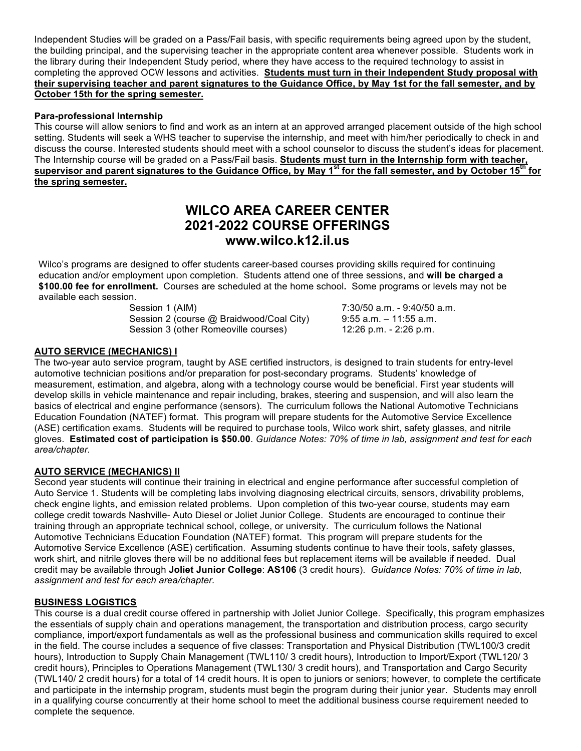Independent Studies will be graded on a Pass/Fail basis, with specific requirements being agreed upon by the student, the building principal, and the supervising teacher in the appropriate content area whenever possible. Students work in the library during their Independent Study period, where they have access to the required technology to assist in completing the approved OCW lessons and activities. **Students must turn in their Independent Study proposal with their supervising teacher and parent signatures to the Guidance Office, by May 1st for the fall semester, and by October 15th for the spring semester.**

# **Para-professional Internship**

This course will allow seniors to find and work as an intern at an approved arranged placement outside of the high school setting. Students will seek a WHS teacher to supervise the internship, and meet with him/her periodically to check in and discuss the course. Interested students should meet with a school counselor to discuss the student's ideas for placement. The Internship course will be graded on a Pass/Fail basis. **Students must turn in the Internship form with teacher, supervisor and parent signatures to the Guidance Office, by May 1st for the fall semester, and by October 15th for the spring semester.**

# **WILCO AREA CAREER CENTER 2021-2022 COURSE OFFERINGS www.wilco.k12.il.us**

Wilco's programs are designed to offer students career-based courses providing skills required for continuing education and/or employment upon completion. Students attend one of three sessions, and **will be charged a \$100.00 fee for enrollment.** Courses are scheduled at the home school**.** Some programs or levels may not be available each session.

> Session 1 (AIM) 30.50 a.m. - 9:40/50 a.m. Session 2 (course @ Braidwood/Coal City) 9:55 a.m. - 11:55 a.m. Session 3 (other Romeoville courses) 12:26 p.m. - 2:26 p.m.

# **AUTO SERVICE (MECHANICS) I**

The two-year auto service program, taught by ASE certified instructors, is designed to train students for entry-level automotive technician positions and/or preparation for post-secondary programs. Students' knowledge of measurement, estimation, and algebra, along with a technology course would be beneficial. First year students will develop skills in vehicle maintenance and repair including, brakes, steering and suspension, and will also learn the basics of electrical and engine performance (sensors). The curriculum follows the National Automotive Technicians Education Foundation (NATEF) format. This program will prepare students for the Automotive Service Excellence (ASE) certification exams. Students will be required to purchase tools, Wilco work shirt, safety glasses, and nitrile gloves. **Estimated cost of participation is \$50.00**. *Guidance Notes: 70% of time in lab, assignment and test for each area/chapter.*

## **AUTO SERVICE (MECHANICS) II**

Second year students will continue their training in electrical and engine performance after successful completion of Auto Service 1. Students will be completing labs involving diagnosing electrical circuits, sensors, drivability problems, check engine lights, and emission related problems. Upon completion of this two-year course, students may earn college credit towards Nashville- Auto Diesel or Joliet Junior College. Students are encouraged to continue their training through an appropriate technical school, college, or university. The curriculum follows the National Automotive Technicians Education Foundation (NATEF) format. This program will prepare students for the Automotive Service Excellence (ASE) certification. Assuming students continue to have their tools, safety glasses, work shirt, and nitrile gloves there will be no additional fees but replacement items will be available if needed. Dual credit may be available through **Joliet Junior College**: **AS106** (3 credit hours). *Guidance Notes: 70% of time in lab, assignment and test for each area/chapter.* 

# **BUSINESS LOGISTICS**

This course is a dual credit course offered in partnership with Joliet Junior College. Specifically, this program emphasizes the essentials of supply chain and operations management, the transportation and distribution process, cargo security compliance, import/export fundamentals as well as the professional business and communication skills required to excel in the field. The course includes a sequence of five classes: Transportation and Physical Distribution (TWL100/3 credit hours), Introduction to Supply Chain Management (TWL110/ 3 credit hours), Introduction to Import/Export (TWL120/ 3 credit hours), Principles to Operations Management (TWL130/ 3 credit hours), and Transportation and Cargo Security (TWL140/ 2 credit hours) for a total of 14 credit hours. It is open to juniors or seniors; however, to complete the certificate and participate in the internship program, students must begin the program during their junior year. Students may enroll in a qualifying course concurrently at their home school to meet the additional business course requirement needed to complete the sequence.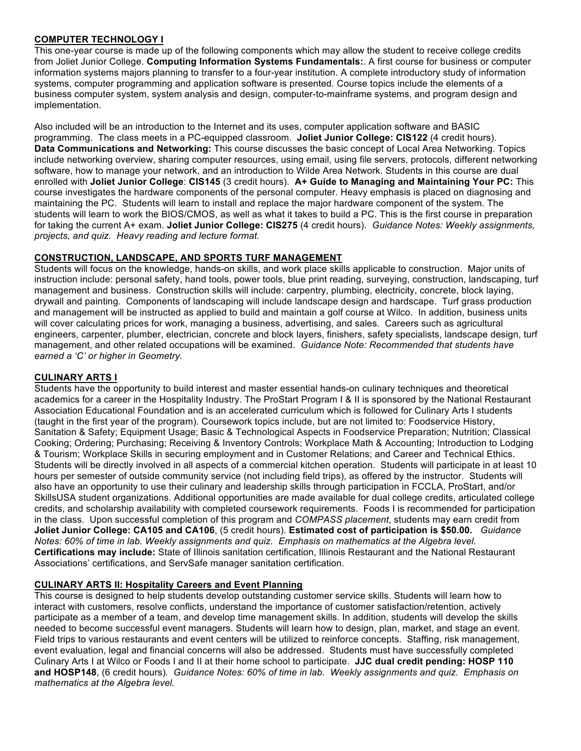# **COMPUTER TECHNOLOGY I**

This one-year course is made up of the following components which may allow the student to receive college credits from Joliet Junior College. **Computing Information Systems Fundamentals:**. A first course for business or computer information systems majors planning to transfer to a four-year institution. A complete introductory study of information systems, computer programming and application software is presented. Course topics include the elements of a business computer system, system analysis and design, computer-to-mainframe systems, and program design and implementation.

Also included will be an introduction to the Internet and its uses, computer application software and BASIC programming. The class meets in a PC-equipped classroom. **Joliet Junior College: CIS122** (4 credit hours). **Data Communications and Networking:** This course discusses the basic concept of Local Area Networking. Topics include networking overview, sharing computer resources, using email, using file servers, protocols, different networking software, how to manage your network, and an introduction to Wilde Area Network. Students in this course are dual enrolled with **Joliet Junior College**: **CIS145** (3 credit hours). **A+ Guide to Managing and Maintaining Your PC:** This course investigates the hardware components of the personal computer. Heavy emphasis is placed on diagnosing and maintaining the PC. Students will learn to install and replace the major hardware component of the system. The students will learn to work the BIOS/CMOS, as well as what it takes to build a PC. This is the first course in preparation for taking the current A+ exam. **Joliet Junior College: CIS275** (4 credit hours). *Guidance Notes: Weekly assignments, projects, and quiz. Heavy reading and lecture format.*

# **CONSTRUCTION, LANDSCAPE, AND SPORTS TURF MANAGEMENT**

Students will focus on the knowledge, hands-on skills, and work place skills applicable to construction. Major units of instruction include: personal safety, hand tools, power tools, blue print reading, surveying, construction, landscaping, turf management and business. Construction skills will include: carpentry, plumbing, electricity, concrete, block laying, drywall and painting. Components of landscaping will include landscape design and hardscape. Turf grass production and management will be instructed as applied to build and maintain a golf course at Wilco. In addition, business units will cover calculating prices for work, managing a business, advertising, and sales. Careers such as agricultural engineers, carpenter, plumber, electrician, concrete and block layers, finishers, safety specialists, landscape design, turf management, and other related occupations will be examined. *Guidance Note: Recommended that students have earned a 'C' or higher in Geometry.*

# **CULINARY ARTS I**

Students have the opportunity to build interest and master essential hands-on culinary techniques and theoretical academics for a career in the Hospitality Industry. The ProStart Program I & II is sponsored by the National Restaurant Association Educational Foundation and is an accelerated curriculum which is followed for Culinary Arts I students (taught in the first year of the program). Coursework topics include, but are not limited to: Foodservice History, Sanitation & Safety; Equipment Usage; Basic & Technological Aspects in Foodservice Preparation; Nutrition; Classical Cooking; Ordering; Purchasing; Receiving & Inventory Controls; Workplace Math & Accounting; Introduction to Lodging & Tourism; Workplace Skills in securing employment and in Customer Relations; and Career and Technical Ethics. Students will be directly involved in all aspects of a commercial kitchen operation. Students will participate in at least 10 hours per semester of outside community service (not including field trips), as offered by the instructor. Students will also have an opportunity to use their culinary and leadership skills through participation in FCCLA, ProStart, and/or SkillsUSA student organizations. Additional opportunities are made available for dual college credits, articulated college credits, and scholarship availability with completed coursework requirements. Foods I is recommended for participation in the class. Upon successful completion of this program and *COMPASS placement*, students may earn credit from **Joliet Junior College: CA105 and CA106**, (5 credit hours). **Estimated cost of participation is \$50.00.** *Guidance Notes: 60% of time in lab. Weekly assignments and quiz. Emphasis on mathematics at the Algebra level.*  **Certifications may include:** State of Illinois sanitation certification, Illinois Restaurant and the National Restaurant Associations' certifications, and ServSafe manager sanitation certification.

## **CULINARY ARTS II: Hospitality Careers and Event Planning**

This course is designed to help students develop outstanding customer service skills. Students will learn how to interact with customers, resolve conflicts, understand the importance of customer satisfaction/retention, actively participate as a member of a team, and develop time management skills. In addition, students will develop the skills needed to become successful event managers. Students will learn how to design, plan, market, and stage an event. Field trips to various restaurants and event centers will be utilized to reinforce concepts. Staffing, risk management, event evaluation, legal and financial concerns will also be addressed. Students must have successfully completed Culinary Arts I at Wilco or Foods I and II at their home school to participate. **JJC dual credit pending: HOSP 110 and HOSP148**, (6 credit hours)*. Guidance Notes: 60% of time in lab. Weekly assignments and quiz. Emphasis on mathematics at the Algebra level.*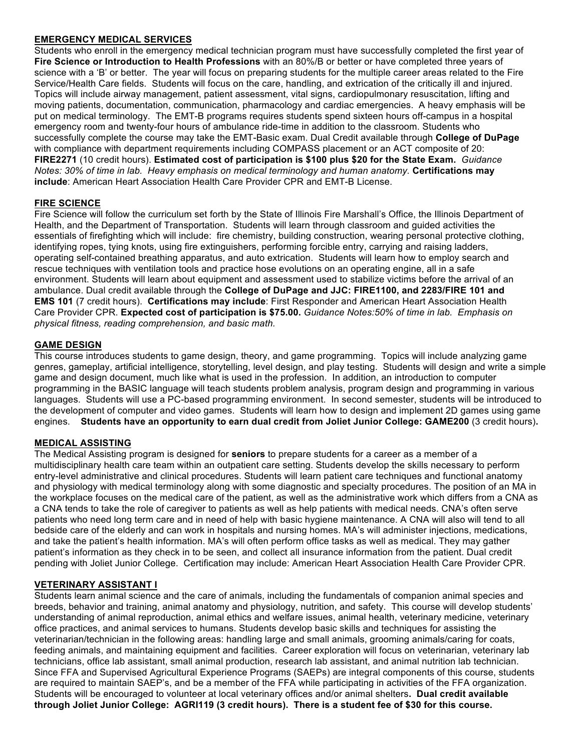# **EMERGENCY MEDICAL SERVICES**

Students who enroll in the emergency medical technician program must have successfully completed the first year of **Fire Science or Introduction to Health Professions** with an 80%/B or better or have completed three years of science with a 'B' or better. The year will focus on preparing students for the multiple career areas related to the Fire Service/Health Care fields. Students will focus on the care, handling, and extrication of the critically ill and injured. Topics will include airway management, patient assessment, vital signs, cardiopulmonary resuscitation, lifting and moving patients, documentation, communication, pharmacology and cardiac emergencies. A heavy emphasis will be put on medical terminology. The EMT-B programs requires students spend sixteen hours off-campus in a hospital emergency room and twenty-four hours of ambulance ride-time in addition to the classroom. Students who successfully complete the course may take the EMT-Basic exam. Dual Credit available through **College of DuPage** with compliance with department requirements including COMPASS placement or an ACT composite of 20: **FIRE2271** (10 credit hours). **Estimated cost of participation is \$100 plus \$20 for the State Exam.** *Guidance Notes: 30% of time in lab. Heavy emphasis on medical terminology and human anatomy.* **Certifications may include**: American Heart Association Health Care Provider CPR and EMT-B License.

# **FIRE SCIENCE**

Fire Science will follow the curriculum set forth by the State of Illinois Fire Marshall's Office, the Illinois Department of Health, and the Department of Transportation. Students will learn through classroom and guided activities the essentials of firefighting which will include: fire chemistry, building construction, wearing personal protective clothing, identifying ropes, tying knots, using fire extinguishers, performing forcible entry, carrying and raising ladders, operating self-contained breathing apparatus, and auto extrication. Students will learn how to employ search and rescue techniques with ventilation tools and practice hose evolutions on an operating engine, all in a safe environment. Students will learn about equipment and assessment used to stabilize victims before the arrival of an ambulance. Dual credit available through the **College of DuPage and JJC: FIRE1100, and 2283/FIRE 101 and EMS 101** (7 credit hours). **Certifications may include**: First Responder and American Heart Association Health Care Provider CPR. **Expected cost of participation is \$75.00.** *Guidance Notes:50% of time in lab. Emphasis on physical fitness, reading comprehension, and basic math.*

# **GAME DESIGN**

This course introduces students to game design, theory, and game programming. Topics will include analyzing game genres, gameplay, artificial intelligence, storytelling, level design, and play testing. Students will design and write a simple game and design document, much like what is used in the profession. In addition, an introduction to computer programming in the BASIC language will teach students problem analysis, program design and programming in various languages. Students will use a PC-based programming environment. In second semester, students will be introduced to the development of computer and video games. Students will learn how to design and implement 2D games using game engines. **Students have an opportunity to earn dual credit from Joliet Junior College: GAME200** (3 credit hours)**.**

# **MEDICAL ASSISTING**

The Medical Assisting program is designed for **seniors** to prepare students for a career as a member of a multidisciplinary health care team within an outpatient care setting. Students develop the skills necessary to perform entry-level administrative and clinical procedures. Students will learn patient care techniques and functional anatomy and physiology with medical terminology along with some diagnostic and specialty procedures. The position of an MA in the workplace focuses on the medical care of the patient, as well as the administrative work which differs from a CNA as a CNA tends to take the role of caregiver to patients as well as help patients with medical needs. CNA's often serve patients who need long term care and in need of help with basic hygiene maintenance. A CNA will also will tend to all bedside care of the elderly and can work in hospitals and nursing homes. MA's will administer injections, medications, and take the patient's health information. MA's will often perform office tasks as well as medical. They may gather patient's information as they check in to be seen, and collect all insurance information from the patient. Dual credit pending with Joliet Junior College. Certification may include: American Heart Association Health Care Provider CPR.

## **VETERINARY ASSISTANT I**

Students learn animal science and the care of animals, including the fundamentals of companion animal species and breeds, behavior and training, animal anatomy and physiology, nutrition, and safety. This course will develop students' understanding of animal reproduction, animal ethics and welfare issues, animal health, veterinary medicine, veterinary office practices, and animal services to humans. Students develop basic skills and techniques for assisting the veterinarian/technician in the following areas: handling large and small animals, grooming animals/caring for coats, feeding animals, and maintaining equipment and facilities. Career exploration will focus on veterinarian, veterinary lab technicians, office lab assistant, small animal production, research lab assistant, and animal nutrition lab technician. Since FFA and Supervised Agricultural Experience Programs (SAEPs) are integral components of this course, students are required to maintain SAEP's, and be a member of the FFA while participating in activities of the FFA organization. Students will be encouraged to volunteer at local veterinary offices and/or animal shelters**. Dual credit available through Joliet Junior College: AGRI119 (3 credit hours). There is a student fee of \$30 for this course.**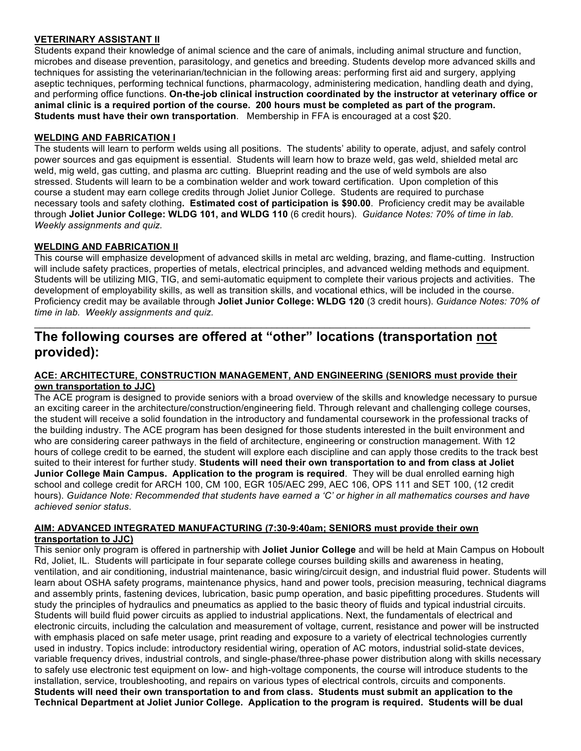# **VETERINARY ASSISTANT II**

Students expand their knowledge of animal science and the care of animals, including animal structure and function, microbes and disease prevention, parasitology, and genetics and breeding. Students develop more advanced skills and techniques for assisting the veterinarian/technician in the following areas: performing first aid and surgery, applying aseptic techniques, performing technical functions, pharmacology, administering medication, handling death and dying, and performing office functions. **On-the-job clinical instruction coordinated by the instructor at veterinary office or animal clinic is a required portion of the course. 200 hours must be completed as part of the program. Students must have their own transportation**. Membership in FFA is encouraged at a cost \$20.

# **WELDING AND FABRICATION I**

The students will learn to perform welds using all positions. The students' ability to operate, adjust, and safely control power sources and gas equipment is essential. Students will learn how to braze weld, gas weld, shielded metal arc weld, mig weld, gas cutting, and plasma arc cutting. Blueprint reading and the use of weld symbols are also stressed. Students will learn to be a combination welder and work toward certification. Upon completion of this course a student may earn college credits through Joliet Junior College. Students are required to purchase necessary tools and safety clothing**. Estimated cost of participation is \$90.00**. Proficiency credit may be available through **Joliet Junior College: WLDG 101, and WLDG 110** (6 credit hours). *Guidance Notes: 70% of time in lab. Weekly assignments and quiz.* 

# **WELDING AND FABRICATION II**

This course will emphasize development of advanced skills in metal arc welding, brazing, and flame-cutting. Instruction will include safety practices, properties of metals, electrical principles, and advanced welding methods and equipment. Students will be utilizing MIG, TIG, and semi-automatic equipment to complete their various projects and activities. The development of employability skills, as well as transition skills, and vocational ethics, will be included in the course. Proficiency credit may be available through **Joliet Junior College: WLDG 120** (3 credit hours). *Guidance Notes: 70% of time in lab. Weekly assignments and quiz.* 

 $\_$  , and the state of the state of the state of the state of the state of the state of the state of the state of the state of the state of the state of the state of the state of the state of the state of the state of the

# **The following courses are offered at "other" locations (transportation not provided):**

# **ACE: ARCHITECTURE, CONSTRUCTION MANAGEMENT, AND ENGINEERING (SENIORS must provide their own transportation to JJC)**

The ACE program is designed to provide seniors with a broad overview of the skills and knowledge necessary to pursue an exciting career in the architecture/construction/engineering field. Through relevant and challenging college courses, the student will receive a solid foundation in the introductory and fundamental coursework in the professional tracks of the building industry. The ACE program has been designed for those students interested in the built environment and who are considering career pathways in the field of architecture, engineering or construction management. With 12 hours of college credit to be earned, the student will explore each discipline and can apply those credits to the track best suited to their interest for further study. **Students will need their own transportation to and from class at Joliet Junior College Main Campus. Application to the program is required**. They will be dual enrolled earning high school and college credit for ARCH 100, CM 100, EGR 105/AEC 299, AEC 106, OPS 111 and SET 100, (12 credit hours). *Guidance Note: Recommended that students have earned a 'C' or higher in all mathematics courses and have achieved senior status*.

#### **AIM: ADVANCED INTEGRATED MANUFACTURING (7:30-9:40am; SENIORS must provide their own transportation to JJC)**

This senior only program is offered in partnership with **Joliet Junior College** and will be held at Main Campus on Hoboult Rd, Joliet, IL. Students will participate in four separate college courses building skills and awareness in heating, ventilation, and air conditioning, industrial maintenance, basic wiring/circuit design, and industrial fluid power. Students will learn about OSHA safety programs, maintenance physics, hand and power tools, precision measuring, technical diagrams and assembly prints, fastening devices, lubrication, basic pump operation, and basic pipefitting procedures. Students will study the principles of hydraulics and pneumatics as applied to the basic theory of fluids and typical industrial circuits. Students will build fluid power circuits as applied to industrial applications. Next, the fundamentals of electrical and electronic circuits, including the calculation and measurement of voltage, current, resistance and power will be instructed with emphasis placed on safe meter usage, print reading and exposure to a variety of electrical technologies currently used in industry. Topics include: introductory residential wiring, operation of AC motors, industrial solid-state devices, variable frequency drives, industrial controls, and single-phase/three-phase power distribution along with skills necessary to safely use electronic test equipment on low- and high-voltage components, the course will introduce students to the installation, service, troubleshooting, and repairs on various types of electrical controls, circuits and components. **Students will need their own transportation to and from class. Students must submit an application to the Technical Department at Joliet Junior College. Application to the program is required. Students will be dual**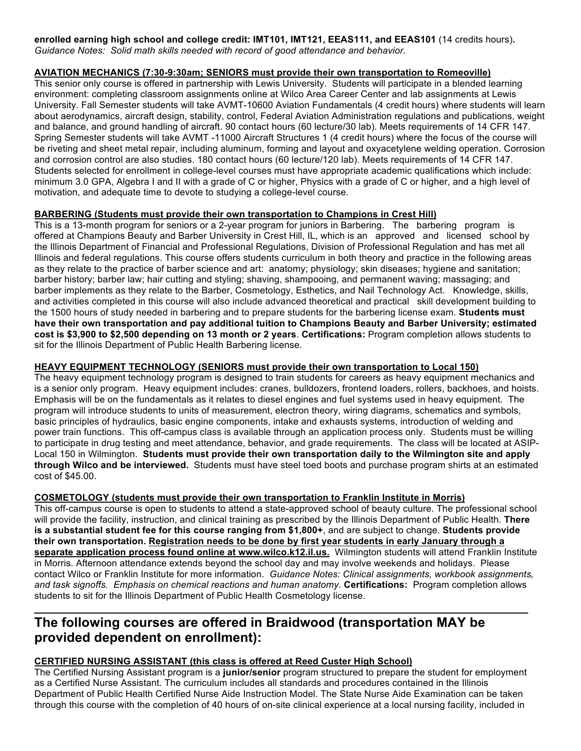# **enrolled earning high school and college credit: IMT101, IMT121, EEAS111, and EEAS101** (14 credits hours)**.**  *Guidance Notes: Solid math skills needed with record of good attendance and behavior.*

# **AVIATION MECHANICS (7:30-9:30am; SENIORS must provide their own transportation to Romeoville)**

This senior only course is offered in partnership with Lewis University. Students will participate in a blended learning environment: completing classroom assignments online at Wilco Area Career Center and lab assignments at Lewis University. Fall Semester students will take AVMT-10600 Aviation Fundamentals (4 credit hours) where students will learn about aerodynamics, aircraft design, stability, control, Federal Aviation Administration regulations and publications, weight and balance, and ground handling of aircraft. 90 contact hours (60 lecture/30 lab). Meets requirements of 14 CFR 147. Spring Semester students will take AVMT -11000 Aircraft Structures 1 (4 credit hours) where the focus of the course will be riveting and sheet metal repair, including aluminum, forming and layout and oxyacetylene welding operation. Corrosion and corrosion control are also studies. 180 contact hours (60 lecture/120 lab). Meets requirements of 14 CFR 147. Students selected for enrollment in college-level courses must have appropriate academic qualifications which include: minimum 3.0 GPA, Algebra I and II with a grade of C or higher, Physics with a grade of C or higher, and a high level of motivation, and adequate time to devote to studying a college-level course.

# **BARBERING (Students must provide their own transportation to Champions in Crest Hill)**

This is a 13-month program for seniors or a 2-year program for juniors in Barbering. The barbering program is offered at Champions Beauty and Barber University in Crest Hill, IL, which is an approved and licensed school by the Illinois Department of Financial and Professional Regulations, Division of Professional Regulation and has met all Illinois and federal regulations. This course offers students curriculum in both theory and practice in the following areas as they relate to the practice of barber science and art: anatomy; physiology; skin diseases; hygiene and sanitation; barber history; barber law; hair cutting and styling; shaving, shampooing, and permanent waving; massaging; and barber implements as they relate to the Barber, Cosmetology, Esthetics, and Nail Technology Act. Knowledge, skills, and activities completed in this course will also include advanced theoretical and practical skill development building to the 1500 hours of study needed in barbering and to prepare students for the barbering license exam. **Students must have their own transportation and pay additional tuition to Champions Beauty and Barber University; estimated cost is \$3,900 to \$2,500 depending on 13 month or 2 years**. **Certifications:** Program completion allows students to sit for the Illinois Department of Public Health Barbering license.

# **HEAVY EQUIPMENT TECHNOLOGY (SENIORS must provide their own transportation to Local 150)**

The heavy equipment technology program is designed to train students for careers as heavy equipment mechanics and is a senior only program. Heavy equipment includes: cranes, bulldozers, frontend loaders, rollers, backhoes, and hoists. Emphasis will be on the fundamentals as it relates to diesel engines and fuel systems used in heavy equipment. The program will introduce students to units of measurement, electron theory, wiring diagrams, schematics and symbols, basic principles of hydraulics, basic engine components, intake and exhausts systems, introduction of welding and power train functions. This off-campus class is available through an application process only. Students must be willing to participate in drug testing and meet attendance, behavior, and grade requirements. The class will be located at ASIP-Local 150 in Wilmington. **Students must provide their own transportation daily to the Wilmington site and apply through Wilco and be interviewed.** Students must have steel toed boots and purchase program shirts at an estimated cost of \$45.00.

# **COSMETOLOGY (students must provide their own transportation to Franklin Institute in Morris)**

This off-campus course is open to students to attend a state-approved school of beauty culture. The professional school will provide the facility, instruction, and clinical training as prescribed by the Illinois Department of Public Health. **There is a substantial student fee for this course ranging from \$1,800+**, and are subject to change. **Students provide their own transportation. Registration needs to be done by first year students in early January through a separate application process found online at www.wilco.k12.il.us.** Wilmington students will attend Franklin Institute in Morris. Afternoon attendance extends beyond the school day and may involve weekends and holidays. Please contact Wilco or Franklin Institute for more information. *Guidance Notes: Clinical assignments, workbook assignments, and task signoffs. Emphasis on chemical reactions and human anatomy.* **Certifications:** Program completion allows students to sit for the Illinois Department of Public Health Cosmetology license.

# **The following courses are offered in Braidwood (transportation MAY be provided dependent on enrollment):**

# **CERTIFIED NURSING ASSISTANT (this class is offered at Reed Custer High School)**

The Certified Nursing Assistant program is a **junior/senior** program structured to prepare the student for employment as a Certified Nurse Assistant. The curriculum includes all standards and procedures contained in the Illinois Department of Public Health Certified Nurse Aide Instruction Model. The State Nurse Aide Examination can be taken through this course with the completion of 40 hours of on-site clinical experience at a local nursing facility, included in

**\_\_\_\_\_\_\_\_\_\_\_\_\_\_\_\_\_\_\_\_\_\_\_\_\_\_\_\_\_\_\_\_\_\_\_\_\_\_\_\_\_\_\_\_\_\_\_\_\_\_\_\_\_\_\_\_\_\_\_\_\_\_\_\_\_\_\_\_\_\_\_\_\_\_\_\_\_\_**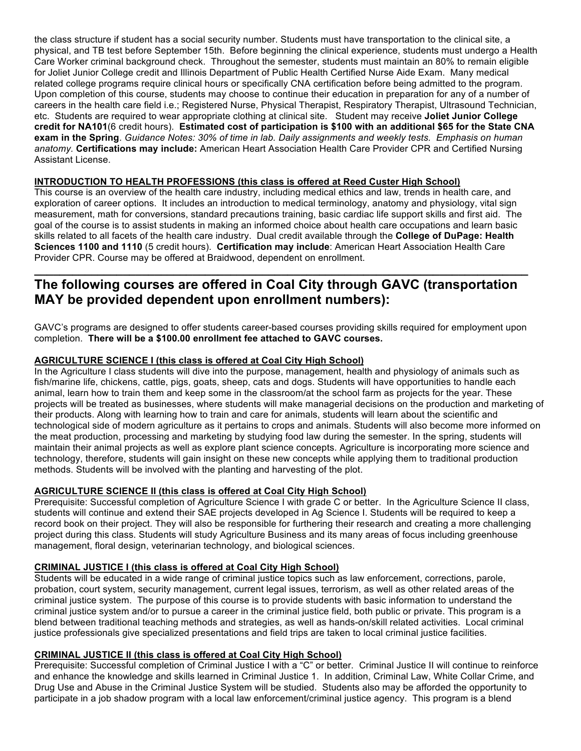the class structure if student has a social security number. Students must have transportation to the clinical site, a physical, and TB test before September 15th. Before beginning the clinical experience, students must undergo a Health Care Worker criminal background check. Throughout the semester, students must maintain an 80% to remain eligible for Joliet Junior College credit and Illinois Department of Public Health Certified Nurse Aide Exam. Many medical related college programs require clinical hours or specifically CNA certification before being admitted to the program. Upon completion of this course, students may choose to continue their education in preparation for any of a number of careers in the health care field i.e.; Registered Nurse, Physical Therapist, Respiratory Therapist, Ultrasound Technician, etc. Students are required to wear appropriate clothing at clinical site. Student may receive **Joliet Junior College credit for NA101**(6 credit hours). **Estimated cost of participation is \$100 with an additional \$65 for the State CNA exam in the Spring**. *Guidance Notes: 30% of time in lab. Daily assignments and weekly tests. Emphasis on human anatomy.* **Certifications may include:** American Heart Association Health Care Provider CPR and Certified Nursing Assistant License.

# **INTRODUCTION TO HEALTH PROFESSIONS (this class is offered at Reed Custer High School)**

This course is an overview of the health care industry, including medical ethics and law, trends in health care, and exploration of career options. It includes an introduction to medical terminology, anatomy and physiology, vital sign measurement, math for conversions, standard precautions training, basic cardiac life support skills and first aid. The goal of the course is to assist students in making an informed choice about health care occupations and learn basic skills related to all facets of the health care industry. Dual credit available through the **College of DuPage: Health Sciences 1100 and 1110** (5 credit hours). **Certification may include**: American Heart Association Health Care Provider CPR. Course may be offered at Braidwood, dependent on enrollment.

# **The following courses are offered in Coal City through GAVC (transportation MAY be provided dependent upon enrollment numbers):**

**\_\_\_\_\_\_\_\_\_\_\_\_\_\_\_\_\_\_\_\_\_\_\_\_\_\_\_\_\_\_\_\_\_\_\_\_\_\_\_\_\_\_\_\_\_\_\_\_\_\_\_\_\_\_\_\_\_\_\_\_\_\_\_\_\_\_\_\_\_\_\_\_\_\_\_\_\_\_**

GAVC's programs are designed to offer students career-based courses providing skills required for employment upon completion. **There will be a \$100.00 enrollment fee attached to GAVC courses.**

# **AGRICULTURE SCIENCE I (this class is offered at Coal City High School)**

In the Agriculture I class students will dive into the purpose, management, health and physiology of animals such as fish/marine life, chickens, cattle, pigs, goats, sheep, cats and dogs. Students will have opportunities to handle each animal, learn how to train them and keep some in the classroom/at the school farm as projects for the year. These projects will be treated as businesses, where students will make managerial decisions on the production and marketing of their products. Along with learning how to train and care for animals, students will learn about the scientific and technological side of modern agriculture as it pertains to crops and animals. Students will also become more informed on the meat production, processing and marketing by studying food law during the semester. In the spring, students will maintain their animal projects as well as explore plant science concepts. Agriculture is incorporating more science and technology, therefore, students will gain insight on these new concepts while applying them to traditional production methods. Students will be involved with the planting and harvesting of the plot.

# **AGRICULTURE SCIENCE II (this class is offered at Coal City High School)**

Prerequisite: Successful completion of Agriculture Science I with grade C or better. In the Agriculture Science II class, students will continue and extend their SAE projects developed in Ag Science I. Students will be required to keep a record book on their project. They will also be responsible for furthering their research and creating a more challenging project during this class. Students will study Agriculture Business and its many areas of focus including greenhouse management, floral design, veterinarian technology, and biological sciences.

## **CRIMINAL JUSTICE I (this class is offered at Coal City High School)**

Students will be educated in a wide range of criminal justice topics such as law enforcement, corrections, parole, probation, court system, security management, current legal issues, terrorism, as well as other related areas of the criminal justice system. The purpose of this course is to provide students with basic information to understand the criminal justice system and/or to pursue a career in the criminal justice field, both public or private. This program is a blend between traditional teaching methods and strategies, as well as hands-on/skill related activities. Local criminal justice professionals give specialized presentations and field trips are taken to local criminal justice facilities.

# **CRIMINAL JUSTICE II (this class is offered at Coal City High School)**

Prerequisite: Successful completion of Criminal Justice I with a "C" or better. Criminal Justice II will continue to reinforce and enhance the knowledge and skills learned in Criminal Justice 1. In addition, Criminal Law, White Collar Crime, and Drug Use and Abuse in the Criminal Justice System will be studied. Students also may be afforded the opportunity to participate in a job shadow program with a local law enforcement/criminal justice agency. This program is a blend